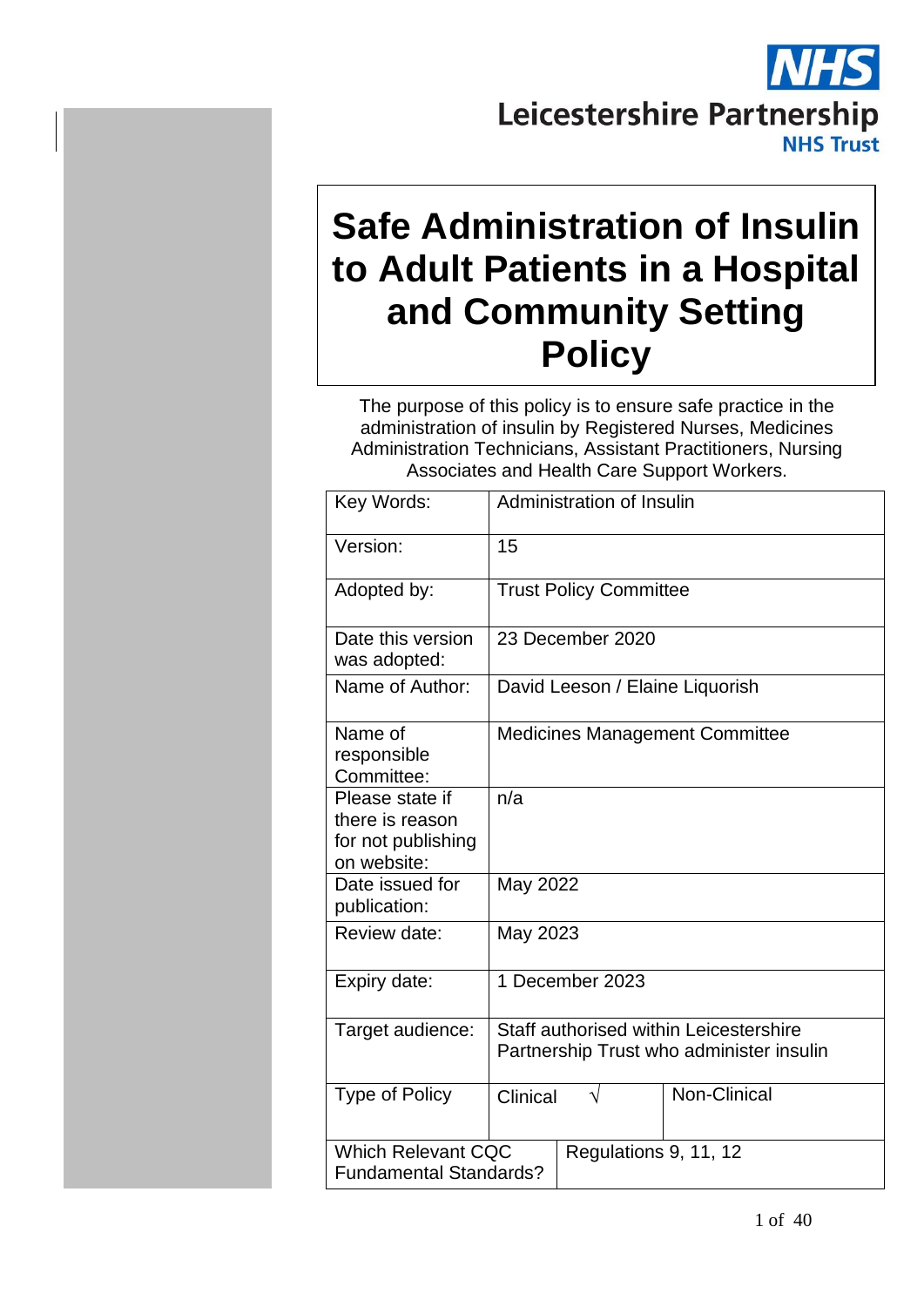# **Leicestershire Partnership NHS Trust**

# **Safe Administration of Insulin to Adult Patients in a Hospital and Community Setting Policy**

The purpose of this policy is to ensure safe practice in the administration of insulin by Registered Nurses, Medicines Administration Technicians, Assistant Practitioners, Nursing Associates and Health Care Support Workers.

| Key Words:                                                              | Administration of Insulin                                                          |
|-------------------------------------------------------------------------|------------------------------------------------------------------------------------|
| Version:                                                                | 15                                                                                 |
| Adopted by:                                                             | <b>Trust Policy Committee</b>                                                      |
| Date this version<br>was adopted:                                       | 23 December 2020                                                                   |
| Name of Author:                                                         | David Leeson / Elaine Liquorish                                                    |
| Name of<br>responsible<br>Committee:                                    | <b>Medicines Management Committee</b>                                              |
| Please state if<br>there is reason<br>for not publishing<br>on website: | n/a                                                                                |
| Date issued for<br>publication:                                         | May 2022                                                                           |
| Review date:                                                            | May 2023                                                                           |
| Expiry date:                                                            | 1 December 2023                                                                    |
| Target audience:                                                        | Staff authorised within Leicestershire<br>Partnership Trust who administer insulin |
| <b>Type of Policy</b>                                                   | Non-Clinical<br>Clinical                                                           |
| <b>Which Relevant CQC</b><br><b>Fundamental Standards?</b>              | Regulations 9, 11, 12                                                              |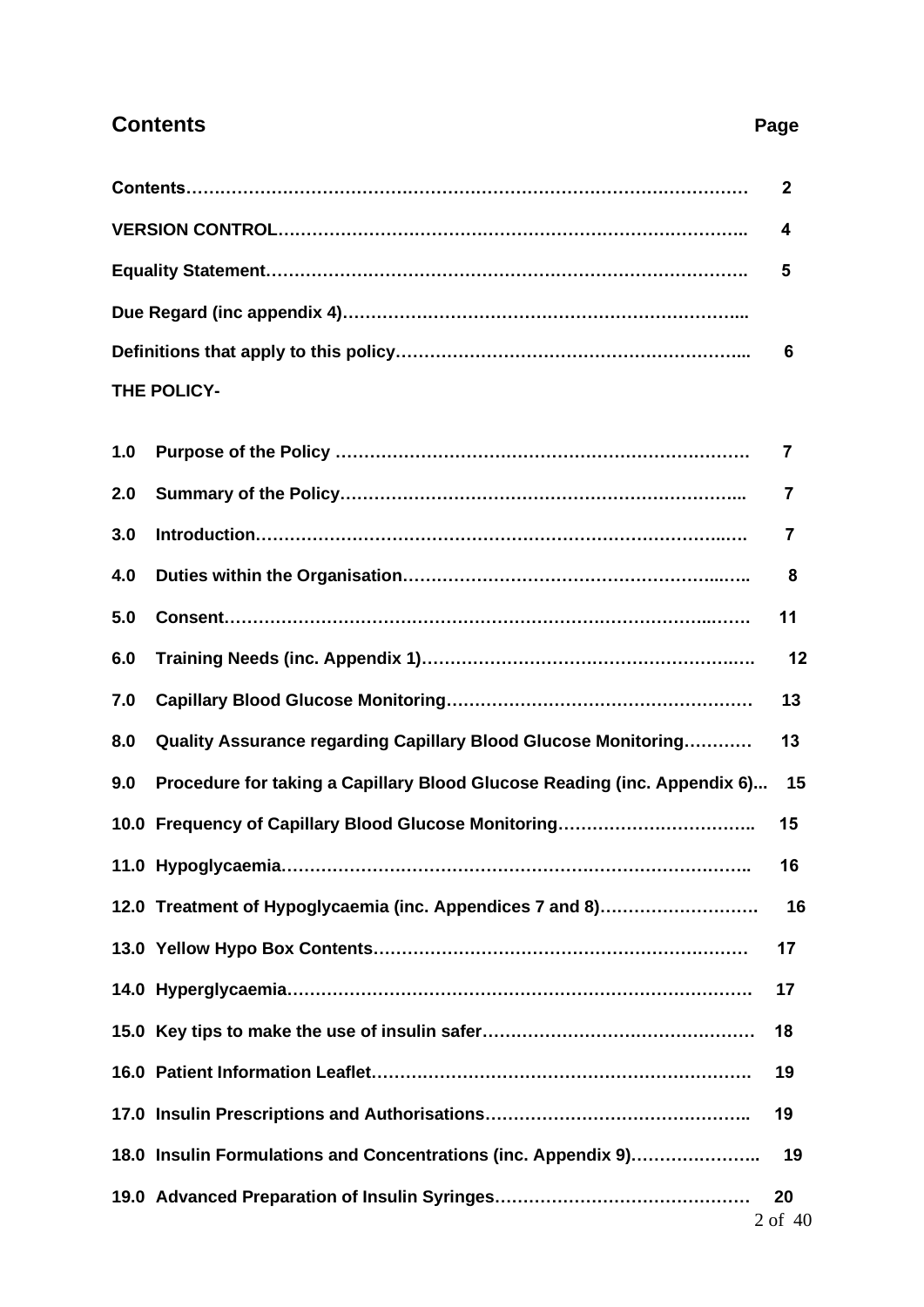## **Contents** Page

|     |                                                                          | $\mathbf{2}$ |
|-----|--------------------------------------------------------------------------|--------------|
|     |                                                                          | 4            |
|     |                                                                          | 5            |
|     |                                                                          |              |
|     |                                                                          | 6            |
|     | <b>THE POLICY-</b>                                                       |              |
| 1.0 |                                                                          | 7            |
| 2.0 |                                                                          | 7            |
| 3.0 |                                                                          | 7            |
| 4.0 |                                                                          | 8            |
| 5.0 |                                                                          | 11           |
| 6.0 |                                                                          | 12           |
| 7.0 |                                                                          | 13           |
| 8.0 | Quality Assurance regarding Capillary Blood Glucose Monitoring           | 13           |
| 9.0 | Procedure for taking a Capillary Blood Glucose Reading (inc. Appendix 6) | 15           |
|     |                                                                          | 15           |
|     | 11 0 Hynoglycaemia                                                       | 16           |

**19.0 Advanced Preparation of Insulin Syringes……………………………………… 20**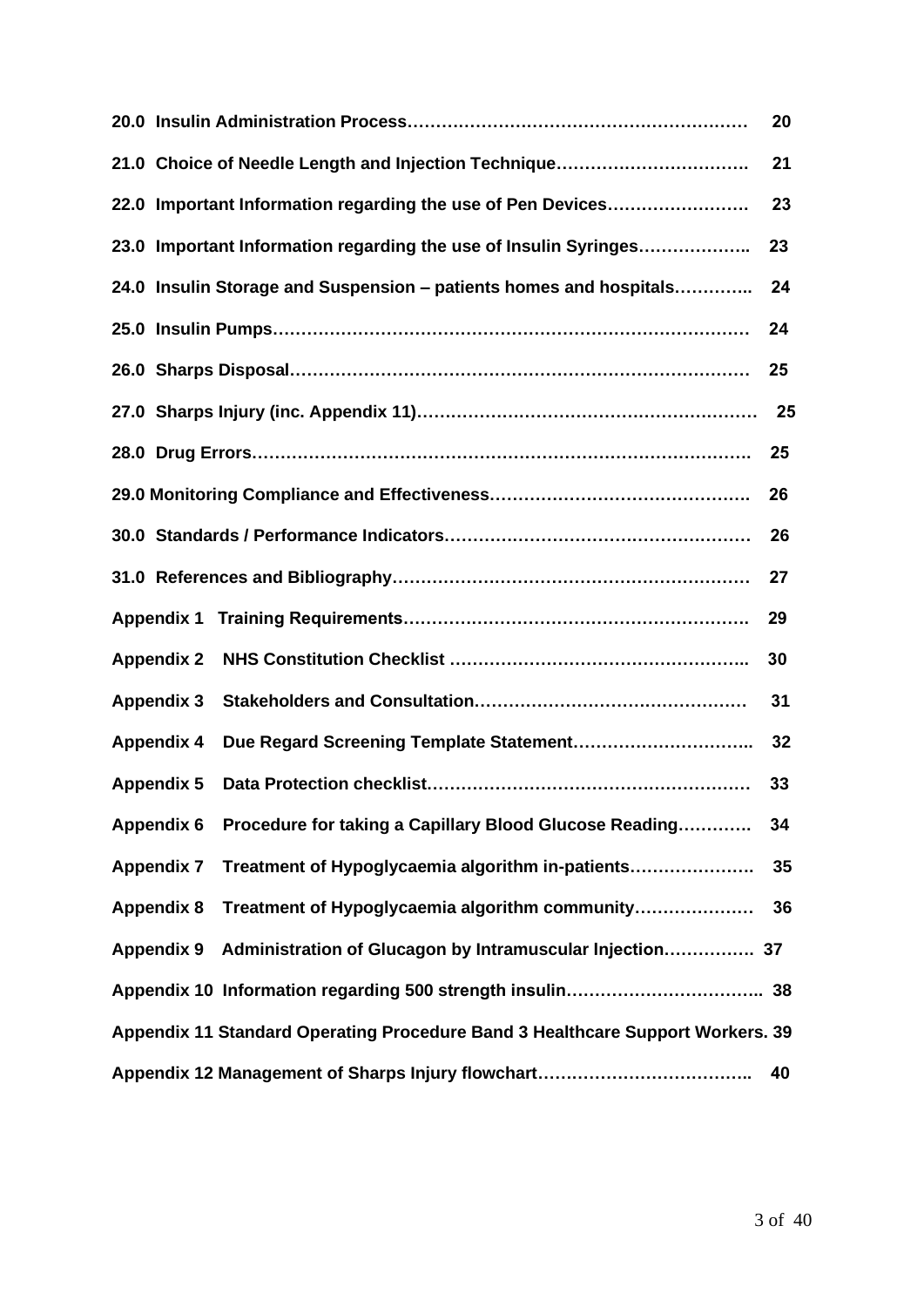|                                                                                | 20   |
|--------------------------------------------------------------------------------|------|
| 21.0 Choice of Needle Length and Injection Technique                           | 21   |
| 22.0 Important Information regarding the use of Pen Devices                    | 23   |
| 23.0 Important Information regarding the use of Insulin Syringes               | 23   |
| 24.0 Insulin Storage and Suspension - patients homes and hospitals             | 24   |
|                                                                                | 24   |
|                                                                                | 25   |
|                                                                                | - 25 |
|                                                                                | 25   |
|                                                                                | 26   |
|                                                                                | 26   |
|                                                                                | 27   |
|                                                                                | 29   |
| <b>Appendix 2</b>                                                              | 30   |
| <b>Appendix 3</b>                                                              | 31   |
| <b>Appendix 4</b>                                                              | 32   |
| <b>Appendix 5</b>                                                              | 33   |
| Appendix 6 Procedure for taking a Capillary Blood Glucose Reading              | 34   |
| Treatment of Hypoglycaemia algorithm in-patients<br><b>Appendix 7</b>          | 35   |
| Treatment of Hypoglycaemia algorithm community<br><b>Appendix 8</b>            | 36   |
| <b>Appendix 9</b>                                                              |      |
|                                                                                |      |
| Appendix 11 Standard Operating Procedure Band 3 Healthcare Support Workers. 39 |      |
|                                                                                | 40   |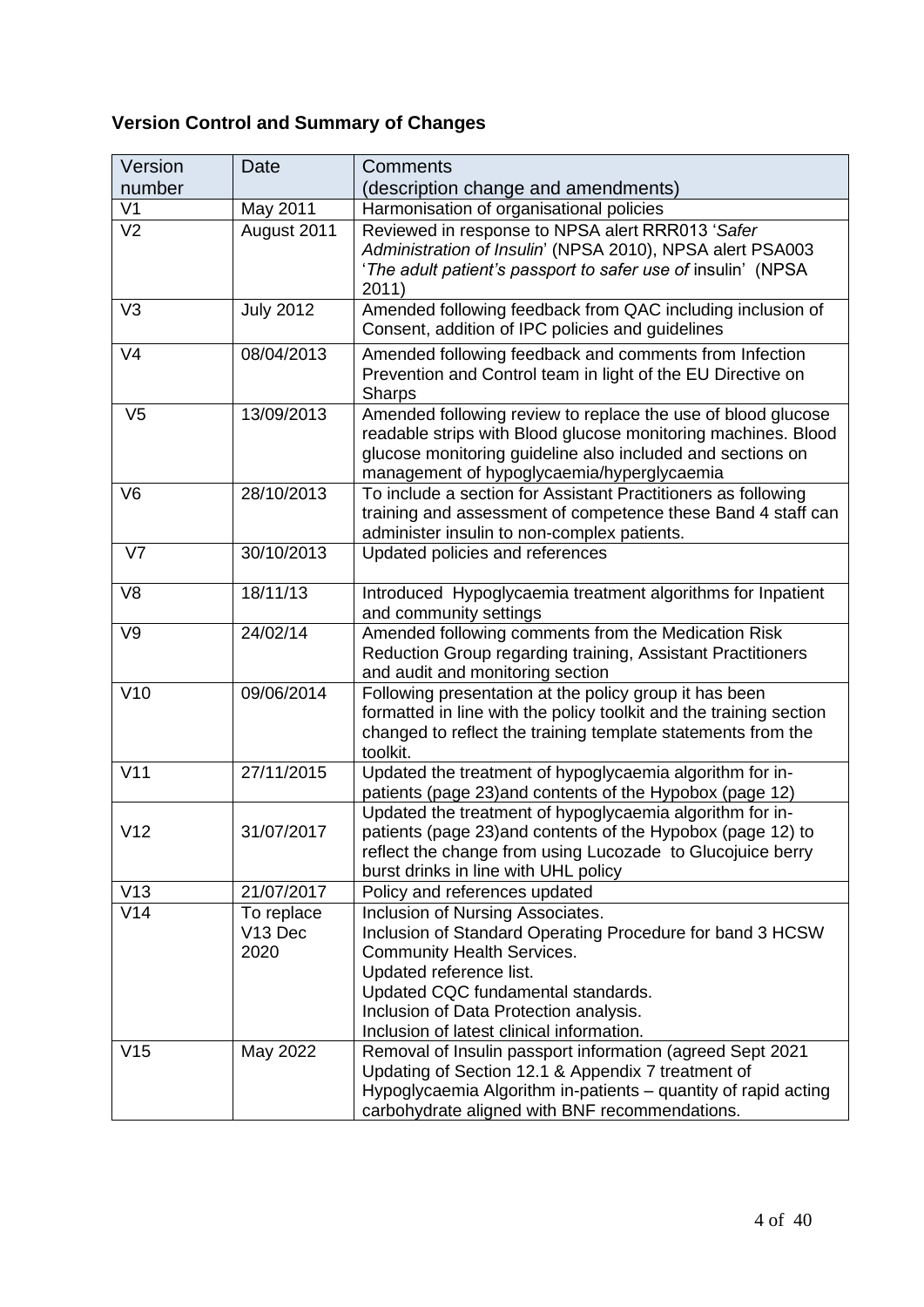# **Version Control and Summary of Changes**

| Version         | <b>Date</b>                               | <b>Comments</b>                                                                                                                                                                                                                                                                            |  |  |
|-----------------|-------------------------------------------|--------------------------------------------------------------------------------------------------------------------------------------------------------------------------------------------------------------------------------------------------------------------------------------------|--|--|
| number          |                                           | (description change and amendments)                                                                                                                                                                                                                                                        |  |  |
| V <sub>1</sub>  | May 2011                                  | Harmonisation of organisational policies                                                                                                                                                                                                                                                   |  |  |
| V <sub>2</sub>  | August 2011                               | Reviewed in response to NPSA alert RRR013 'Safer<br>Administration of Insulin' (NPSA 2010), NPSA alert PSA003<br>'The adult patient's passport to safer use of insulin' (NPSA<br>2011)                                                                                                     |  |  |
| V <sub>3</sub>  | <b>July 2012</b>                          | Amended following feedback from QAC including inclusion of<br>Consent, addition of IPC policies and guidelines                                                                                                                                                                             |  |  |
| V <sub>4</sub>  | 08/04/2013                                | Amended following feedback and comments from Infection<br>Prevention and Control team in light of the EU Directive on<br><b>Sharps</b>                                                                                                                                                     |  |  |
| V <sub>5</sub>  | 13/09/2013                                | Amended following review to replace the use of blood glucose<br>readable strips with Blood glucose monitoring machines. Blood<br>glucose monitoring guideline also included and sections on<br>management of hypoglycaemia/hyperglycaemia                                                  |  |  |
| V <sub>6</sub>  | 28/10/2013                                | To include a section for Assistant Practitioners as following<br>training and assessment of competence these Band 4 staff can<br>administer insulin to non-complex patients.                                                                                                               |  |  |
| V <sub>7</sub>  | 30/10/2013                                | Updated policies and references                                                                                                                                                                                                                                                            |  |  |
| V <sub>8</sub>  | 18/11/13                                  | Introduced Hypoglycaemia treatment algorithms for Inpatient<br>and community settings                                                                                                                                                                                                      |  |  |
| V9              | 24/02/14                                  | Amended following comments from the Medication Risk<br>Reduction Group regarding training, Assistant Practitioners<br>and audit and monitoring section                                                                                                                                     |  |  |
| V10             | 09/06/2014                                | Following presentation at the policy group it has been<br>formatted in line with the policy toolkit and the training section<br>changed to reflect the training template statements from the<br>toolkit.                                                                                   |  |  |
| V11             | 27/11/2015                                | Updated the treatment of hypoglycaemia algorithm for in-<br>patients (page 23) and contents of the Hypobox (page 12)                                                                                                                                                                       |  |  |
| V12             | 31/07/2017                                | Updated the treatment of hypoglycaemia algorithm for in-<br>patients (page 23) and contents of the Hypobox (page 12) to<br>reflect the change from using Lucozade to Glucojuice berry<br>burst drinks in line with UHL policy                                                              |  |  |
| V13             | 21/07/2017                                | Policy and references updated                                                                                                                                                                                                                                                              |  |  |
| V14             | To replace<br>V <sub>13</sub> Dec<br>2020 | Inclusion of Nursing Associates.<br>Inclusion of Standard Operating Procedure for band 3 HCSW<br><b>Community Health Services.</b><br>Updated reference list.<br>Updated CQC fundamental standards.<br>Inclusion of Data Protection analysis.<br>Inclusion of latest clinical information. |  |  |
| V <sub>15</sub> | May 2022                                  | Removal of Insulin passport information (agreed Sept 2021<br>Updating of Section 12.1 & Appendix 7 treatment of<br>Hypoglycaemia Algorithm in-patients - quantity of rapid acting<br>carbohydrate aligned with BNF recommendations.                                                        |  |  |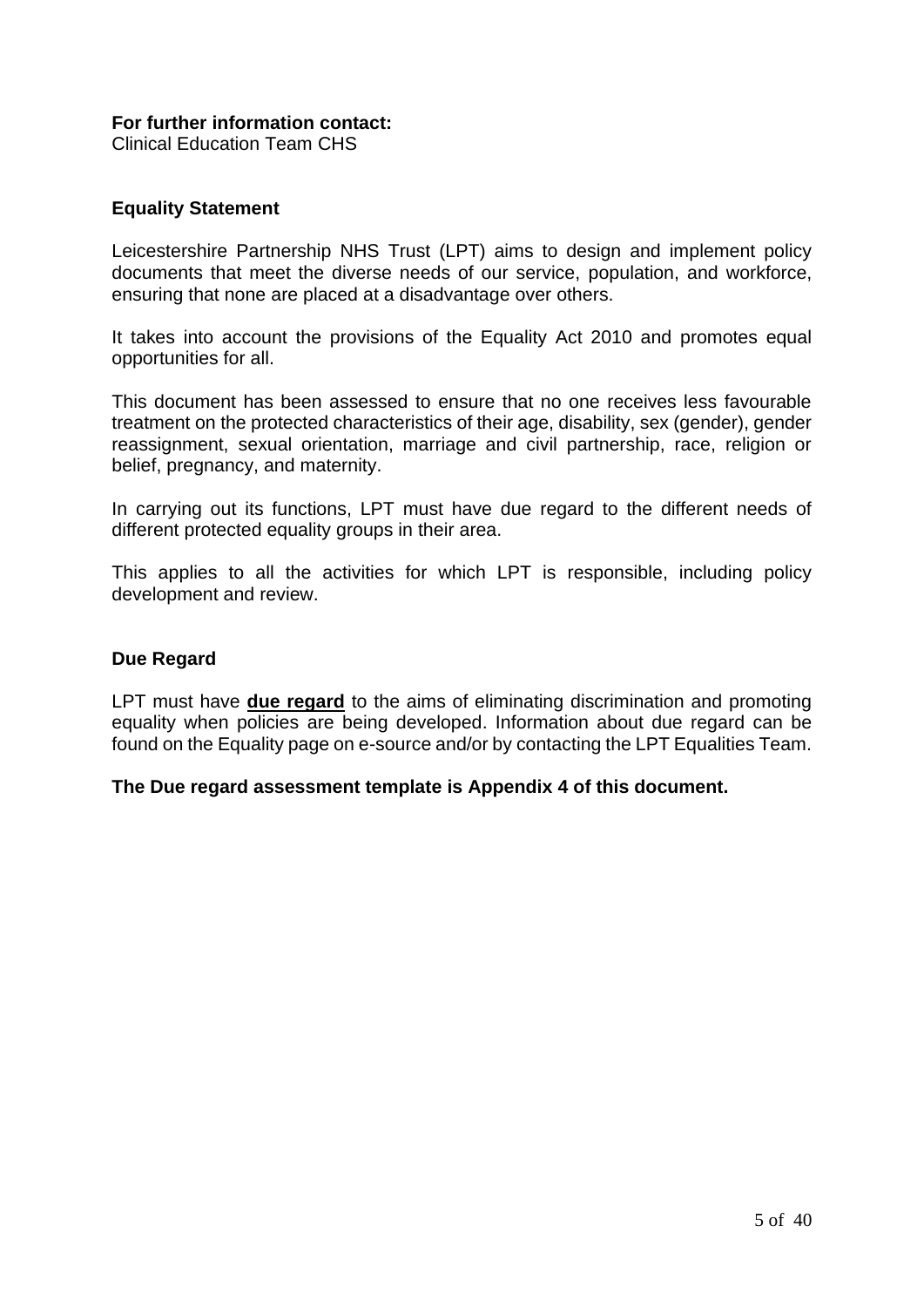#### **For further information contact:**

Clinical Education Team CHS

#### **Equality Statement**

Leicestershire Partnership NHS Trust (LPT) aims to design and implement policy documents that meet the diverse needs of our service, population, and workforce, ensuring that none are placed at a disadvantage over others.

It takes into account the provisions of the Equality Act 2010 and promotes equal opportunities for all.

This document has been assessed to ensure that no one receives less favourable treatment on the protected characteristics of their age, disability, sex (gender), gender reassignment, sexual orientation, marriage and civil partnership, race, religion or belief, pregnancy, and maternity.

In carrying out its functions, LPT must have due regard to the different needs of different protected equality groups in their area.

This applies to all the activities for which LPT is responsible, including policy development and review.

#### **Due Regard**

LPT must have **due regard** to the aims of eliminating discrimination and promoting equality when policies are being developed. Information about due regard can be found on the Equality page on e-source and/or by contacting the LPT Equalities Team.

#### **The Due regard assessment template is Appendix 4 of this document.**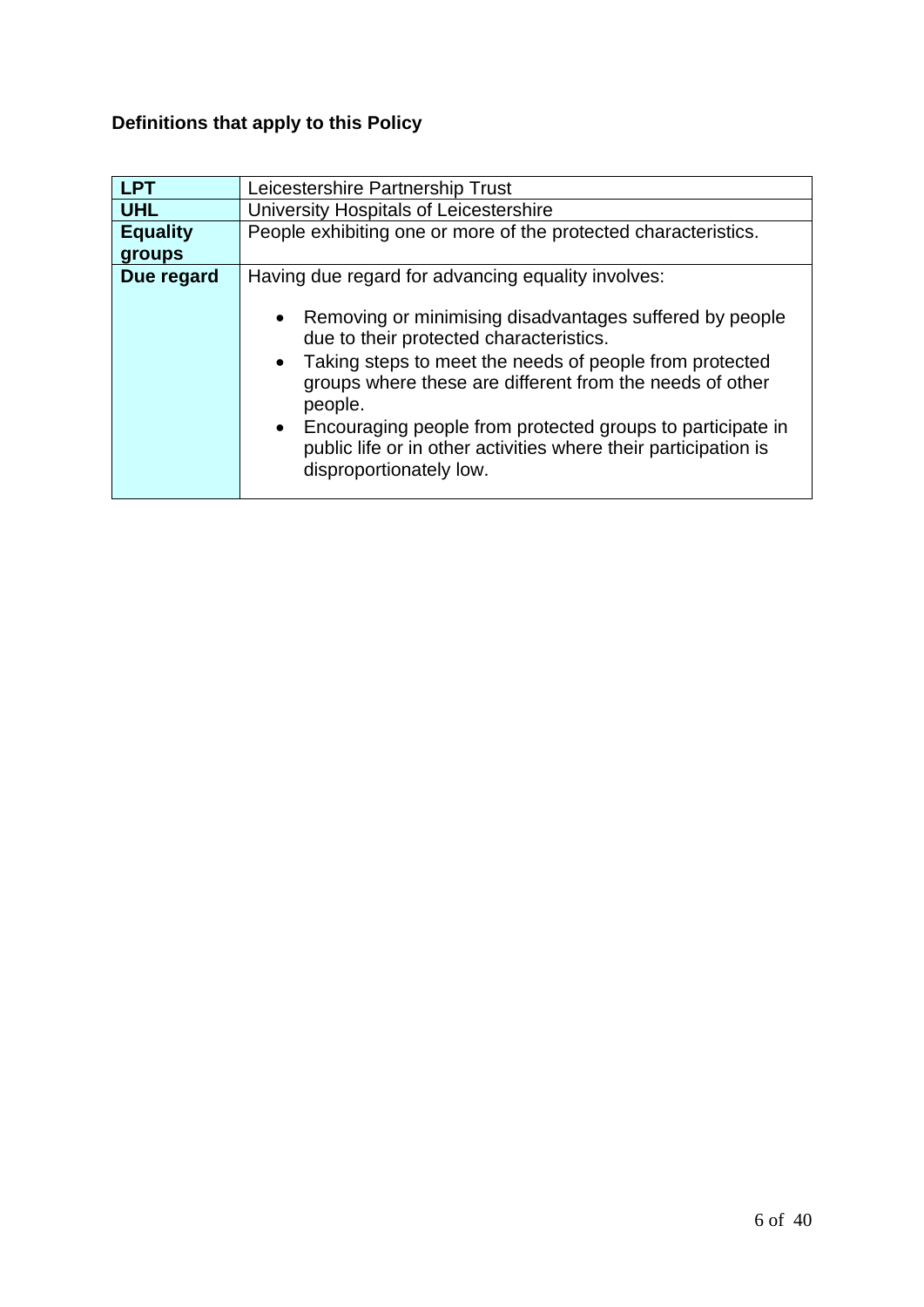# **Definitions that apply to this Policy**

| <b>LPT</b>      | Leicestershire Partnership Trust                                                                                                                                                                                                                                                                                                                                                                   |  |  |  |
|-----------------|----------------------------------------------------------------------------------------------------------------------------------------------------------------------------------------------------------------------------------------------------------------------------------------------------------------------------------------------------------------------------------------------------|--|--|--|
| <b>UHL</b>      | University Hospitals of Leicestershire                                                                                                                                                                                                                                                                                                                                                             |  |  |  |
| <b>Equality</b> | People exhibiting one or more of the protected characteristics.                                                                                                                                                                                                                                                                                                                                    |  |  |  |
| groups          |                                                                                                                                                                                                                                                                                                                                                                                                    |  |  |  |
| Due regard      | Having due regard for advancing equality involves:                                                                                                                                                                                                                                                                                                                                                 |  |  |  |
|                 | Removing or minimising disadvantages suffered by people<br>due to their protected characteristics.<br>• Taking steps to meet the needs of people from protected<br>groups where these are different from the needs of other<br>people.<br>Encouraging people from protected groups to participate in<br>public life or in other activities where their participation is<br>disproportionately low. |  |  |  |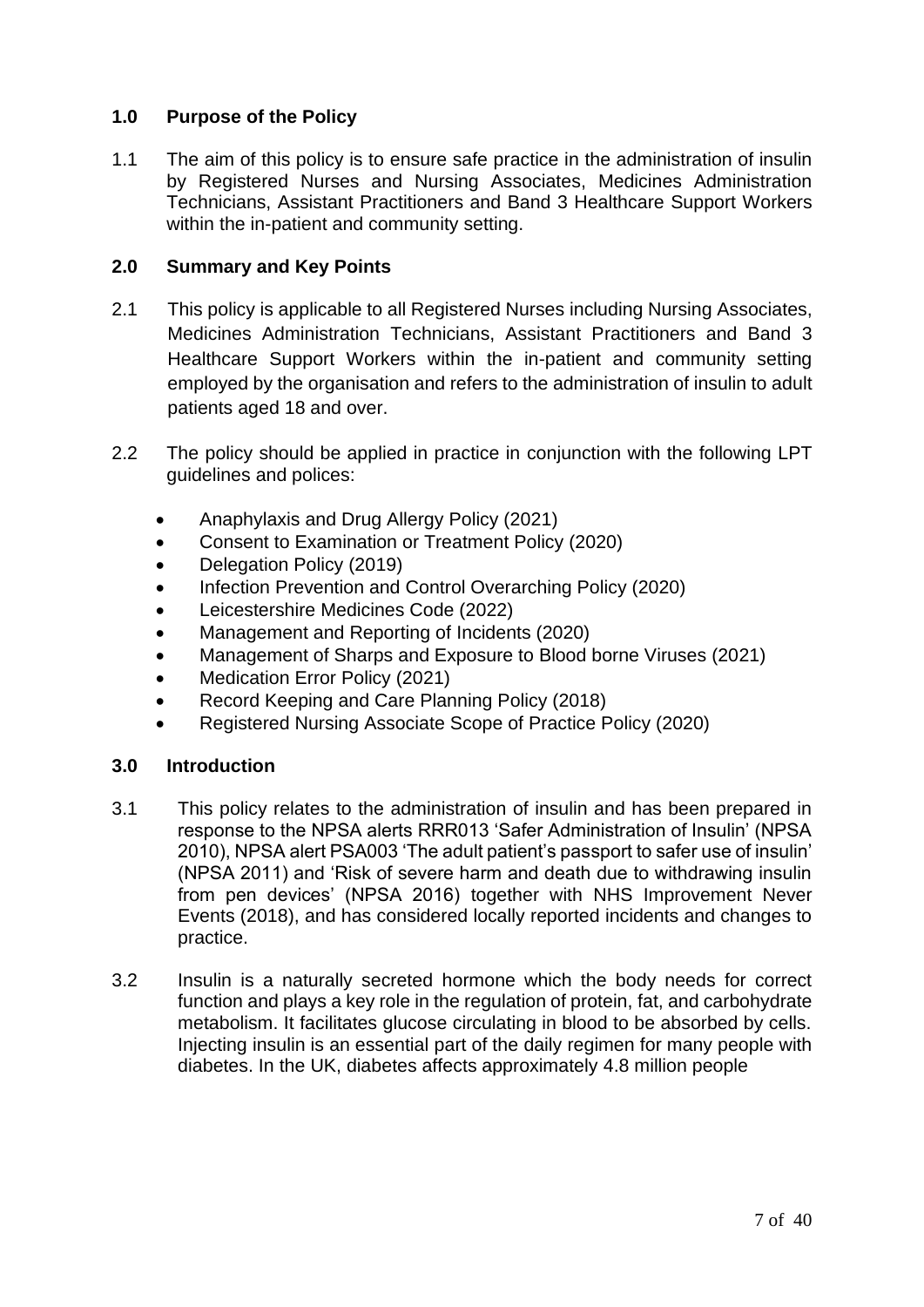#### **1.0 Purpose of the Policy**

1.1 The aim of this policy is to ensure safe practice in the administration of insulin by Registered Nurses and Nursing Associates, Medicines Administration Technicians, Assistant Practitioners and Band 3 Healthcare Support Workers within the in-patient and community setting.

#### **2.0 Summary and Key Points**

- 2.1 This policy is applicable to all Registered Nurses including Nursing Associates, Medicines Administration Technicians, Assistant Practitioners and Band 3 Healthcare Support Workers within the in-patient and community setting employed by the organisation and refers to the administration of insulin to adult patients aged 18 and over.
- 2.2 The policy should be applied in practice in conjunction with the following LPT guidelines and polices:
	- Anaphylaxis and Drug Allergy Policy (2021)
	- Consent to Examination or Treatment Policy (2020)
	- Delegation Policy (2019)
	- Infection Prevention and Control Overarching Policy (2020)
	- Leicestershire Medicines Code (2022)
	- Management and Reporting of Incidents (2020)
	- Management of Sharps and Exposure to Blood borne Viruses (2021)
	- Medication Error Policy (2021)
	- Record Keeping and Care Planning Policy (2018)
	- Registered Nursing Associate Scope of Practice Policy (2020)

#### **3.0 Introduction**

- 3.1 This policy relates to the administration of insulin and has been prepared in response to the NPSA alerts RRR013 'Safer Administration of Insulin' (NPSA 2010), NPSA alert PSA003 'The adult patient's passport to safer use of insulin' (NPSA 2011) and 'Risk of severe harm and death due to withdrawing insulin from pen devices' (NPSA 2016) together with NHS Improvement Never Events (2018), and has considered locally reported incidents and changes to practice.
- 3.2 Insulin is a naturally secreted hormone which the body needs for correct function and plays a key role in the regulation of protein, fat, and carbohydrate metabolism. It facilitates glucose circulating in blood to be absorbed by cells. Injecting insulin is an essential part of the daily regimen for many people with diabetes. In the UK, diabetes affects approximately 4.8 million people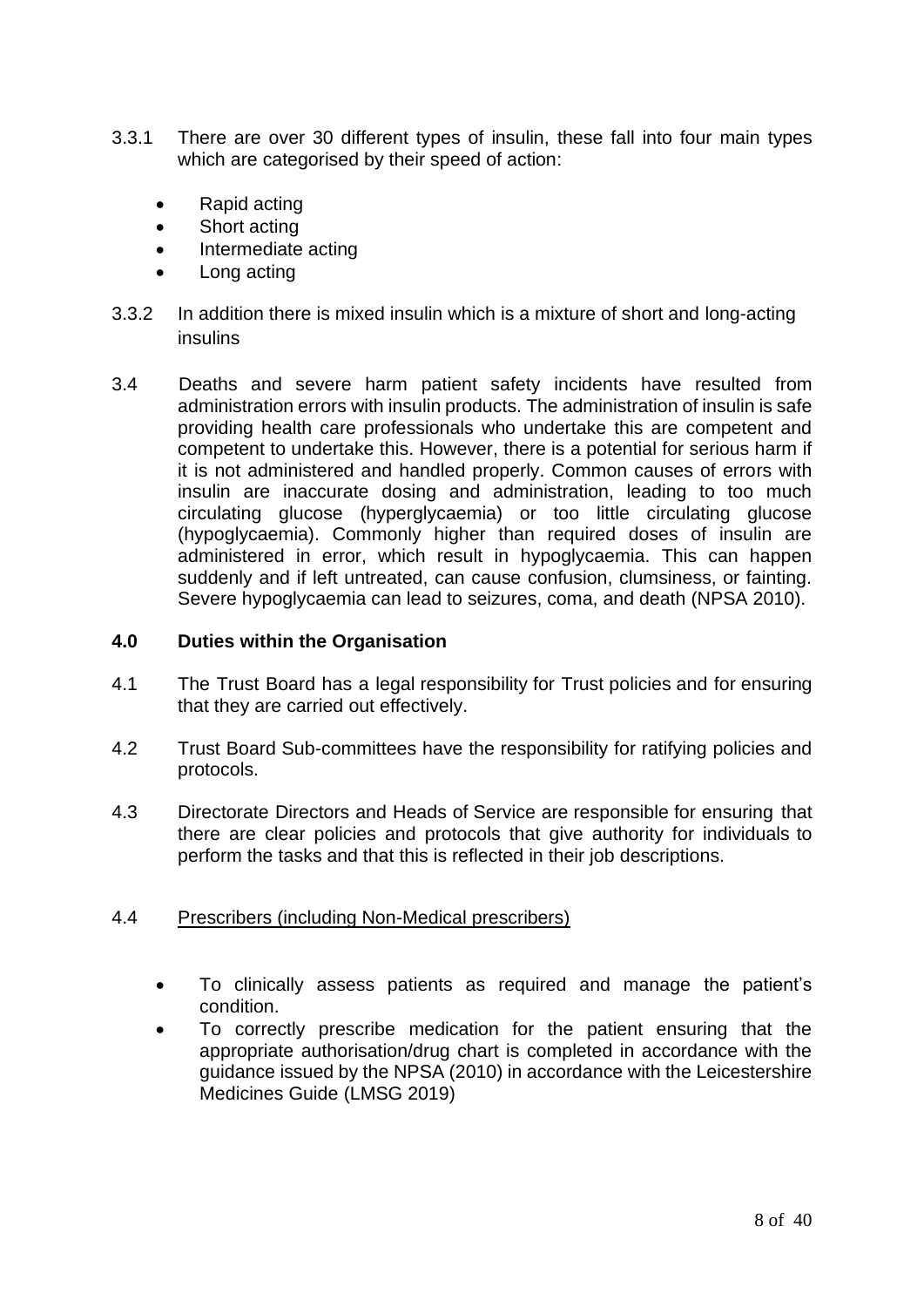- 3.3.1 There are over 30 different types of insulin, these fall into four main types which are categorised by their speed of action:
	- Rapid acting
	- Short acting
	- Intermediate acting
	- Long acting
- 3.3.2 In addition there is mixed insulin which is a mixture of short and long-acting insulins
- 3.4 Deaths and severe harm patient safety incidents have resulted from administration errors with insulin products. The administration of insulin is safe providing health care professionals who undertake this are competent and competent to undertake this. However, there is a potential for serious harm if it is not administered and handled properly. Common causes of errors with insulin are inaccurate dosing and administration, leading to too much circulating glucose (hyperglycaemia) or too little circulating glucose (hypoglycaemia). Commonly higher than required doses of insulin are administered in error, which result in hypoglycaemia. This can happen suddenly and if left untreated, can cause confusion, clumsiness, or fainting. Severe hypoglycaemia can lead to seizures, coma, and death (NPSA 2010).

#### **4.0 Duties within the Organisation**

- 4.1 The Trust Board has a legal responsibility for Trust policies and for ensuring that they are carried out effectively.
- 4.2 Trust Board Sub-committees have the responsibility for ratifying policies and protocols.
- 4.3 Directorate Directors and Heads of Service are responsible for ensuring that there are clear policies and protocols that give authority for individuals to perform the tasks and that this is reflected in their job descriptions.

#### 4.4 Prescribers (including Non-Medical prescribers)

- To clinically assess patients as required and manage the patient's condition.
- To correctly prescribe medication for the patient ensuring that the appropriate authorisation/drug chart is completed in accordance with the guidance issued by the NPSA (2010) in accordance with the Leicestershire Medicines Guide (LMSG 2019)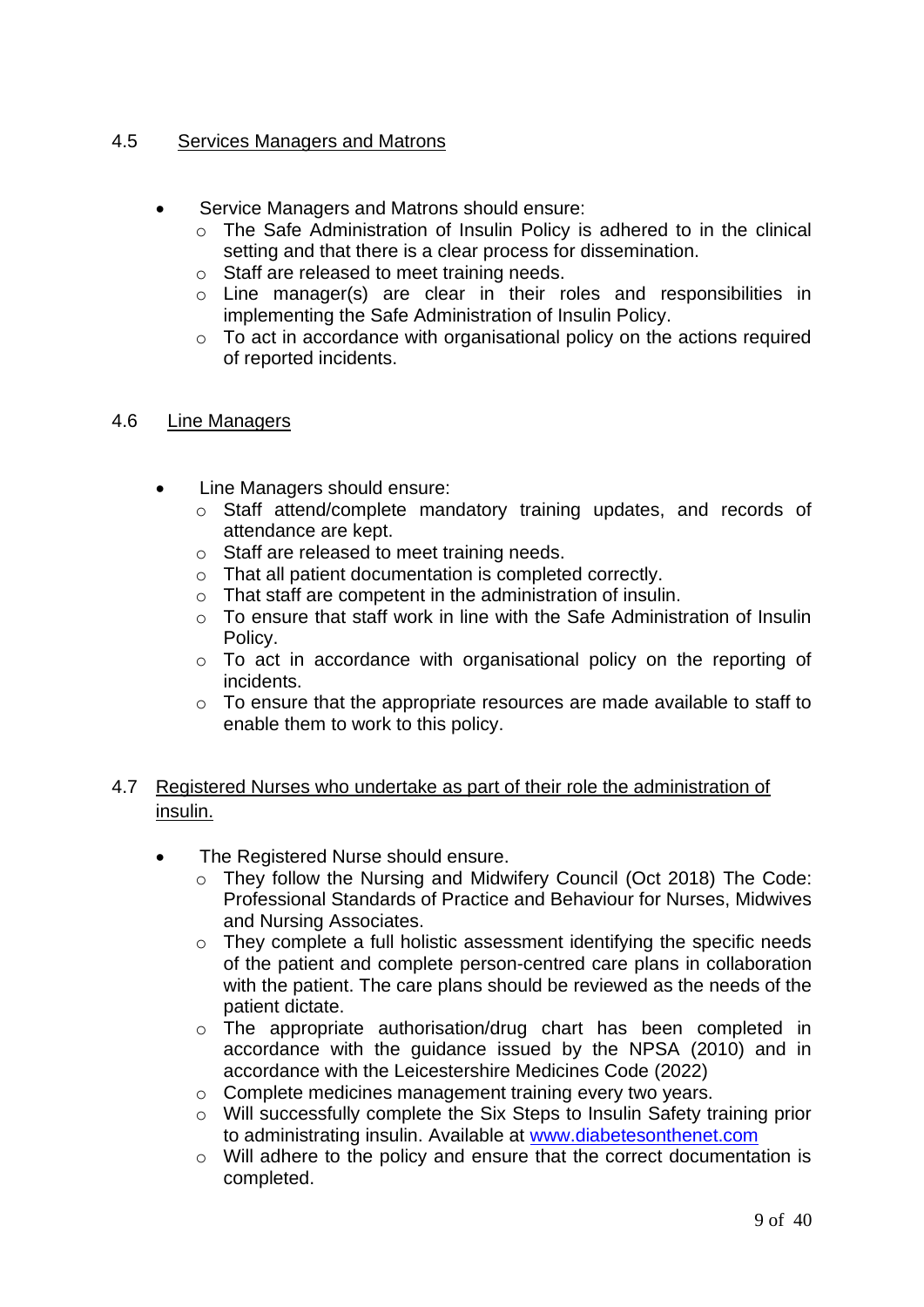#### 4.5 Services Managers and Matrons

- Service Managers and Matrons should ensure:
	- o The Safe Administration of Insulin Policy is adhered to in the clinical setting and that there is a clear process for dissemination.
	- o Staff are released to meet training needs.
	- o Line manager(s) are clear in their roles and responsibilities in implementing the Safe Administration of Insulin Policy.
	- o To act in accordance with organisational policy on the actions required of reported incidents.

#### 4.6 Line Managers

- Line Managers should ensure:
	- o Staff attend/complete mandatory training updates, and records of attendance are kept.
	- o Staff are released to meet training needs.
	- o That all patient documentation is completed correctly.
	- o That staff are competent in the administration of insulin.
	- o To ensure that staff work in line with the Safe Administration of Insulin Policy.
	- o To act in accordance with organisational policy on the reporting of incidents.
	- o To ensure that the appropriate resources are made available to staff to enable them to work to this policy.

#### 4.7 Registered Nurses who undertake as part of their role the administration of insulin.

- The Registered Nurse should ensure.
	- o They follow the Nursing and Midwifery Council (Oct 2018) The Code: Professional Standards of Practice and Behaviour for Nurses, Midwives and Nursing Associates.
	- o They complete a full holistic assessment identifying the specific needs of the patient and complete person-centred care plans in collaboration with the patient. The care plans should be reviewed as the needs of the patient dictate.
	- o The appropriate authorisation/drug chart has been completed in accordance with the guidance issued by the NPSA (2010) and in accordance with the Leicestershire Medicines Code (2022)
	- o Complete medicines management training every two years.
	- o Will successfully complete the Six Steps to Insulin Safety training prior to administrating insulin. Available at [www.diabetesonthenet.com](http://www.diabetesonthenet.com/)
	- o Will adhere to the policy and ensure that the correct documentation is completed.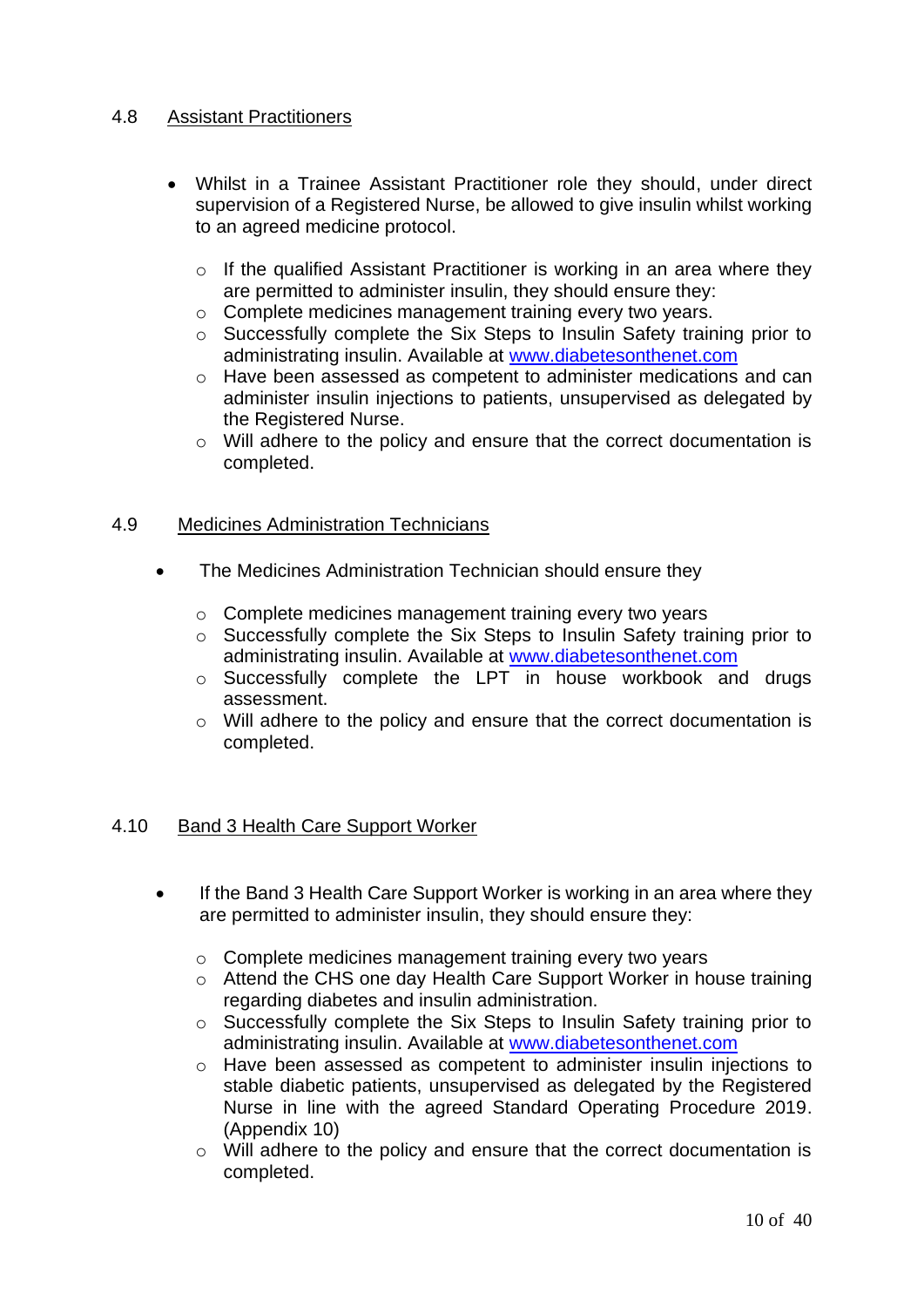#### 4.8 Assistant Practitioners

- Whilst in a Trainee Assistant Practitioner role they should, under direct supervision of a Registered Nurse, be allowed to give insulin whilst working to an agreed medicine protocol.
	- $\circ$  If the qualified Assistant Practitioner is working in an area where they are permitted to administer insulin, they should ensure they:
	- o Complete medicines management training every two years.
	- o Successfully complete the Six Steps to Insulin Safety training prior to administrating insulin. Available at [www.diabetesonthenet.com](http://www.diabetesonthenet.com/)
	- o Have been assessed as competent to administer medications and can administer insulin injections to patients, unsupervised as delegated by the Registered Nurse.
	- o Will adhere to the policy and ensure that the correct documentation is completed.

#### 4.9 Medicines Administration Technicians

- The Medicines Administration Technician should ensure they
	- o Complete medicines management training every two years
	- o Successfully complete the Six Steps to Insulin Safety training prior to administrating insulin. Available at [www.diabetesonthenet.com](http://www.diabetesonthenet.com/)
	- o Successfully complete the LPT in house workbook and drugs assessment.
	- o Will adhere to the policy and ensure that the correct documentation is completed.

#### 4.10 Band 3 Health Care Support Worker

- If the Band 3 Health Care Support Worker is working in an area where they are permitted to administer insulin, they should ensure they:
	- o Complete medicines management training every two years
	- o Attend the CHS one day Health Care Support Worker in house training regarding diabetes and insulin administration.
	- o Successfully complete the Six Steps to Insulin Safety training prior to administrating insulin. Available at [www.diabetesonthenet.com](http://www.diabetesonthenet.com/)
	- o Have been assessed as competent to administer insulin injections to stable diabetic patients, unsupervised as delegated by the Registered Nurse in line with the agreed Standard Operating Procedure 2019. (Appendix 10)
	- o Will adhere to the policy and ensure that the correct documentation is completed.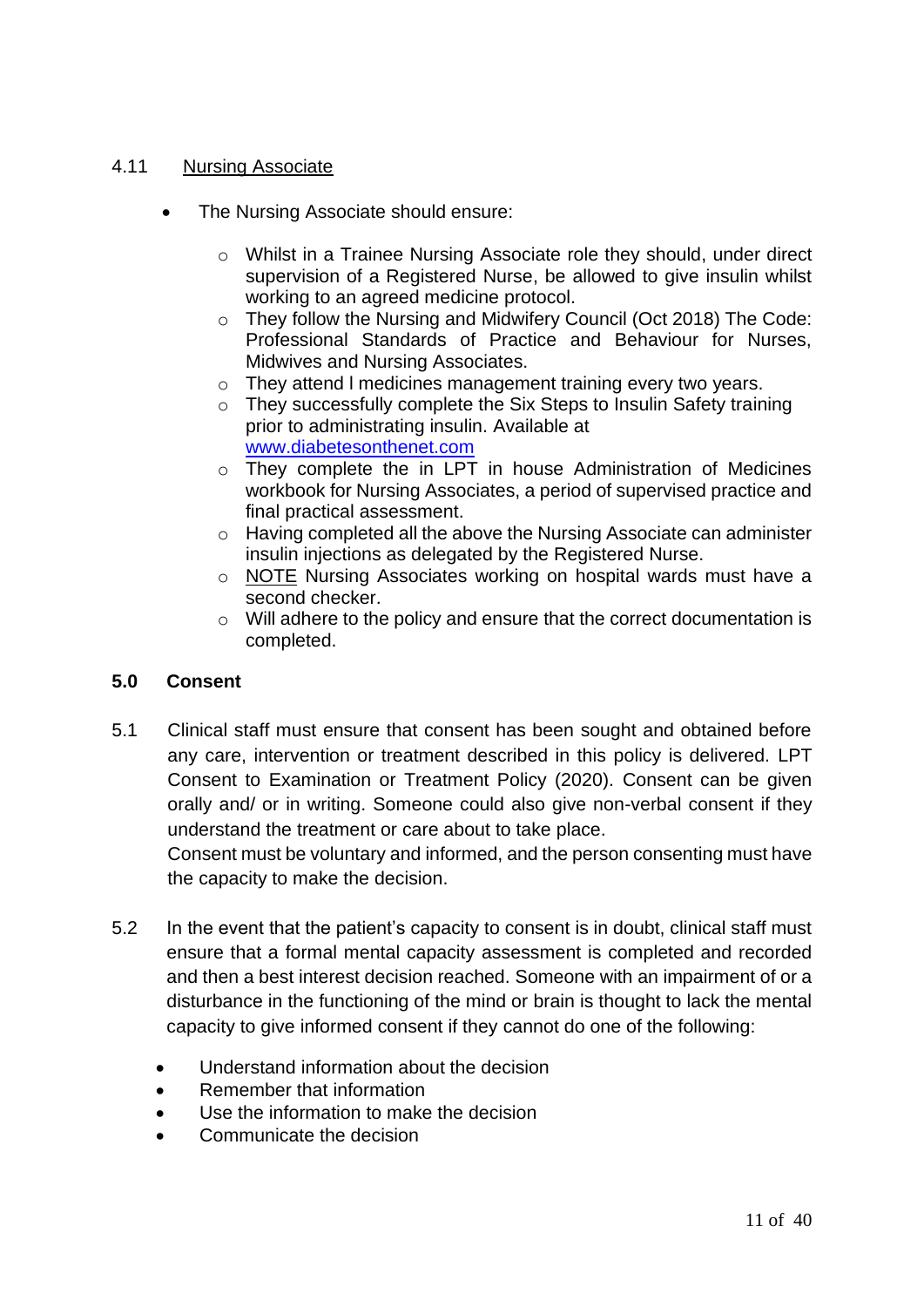#### 4.11 Nursing Associate

- The Nursing Associate should ensure:
	- o Whilst in a Trainee Nursing Associate role they should, under direct supervision of a Registered Nurse, be allowed to give insulin whilst working to an agreed medicine protocol.
	- o They follow the Nursing and Midwifery Council (Oct 2018) The Code: Professional Standards of Practice and Behaviour for Nurses, Midwives and Nursing Associates.
	- o They attend l medicines management training every two years.
	- o They successfully complete the Six Steps to Insulin Safety training prior to administrating insulin. Available at [www.diabetesonthenet.com](http://www.diabetesonthenet.com/)
	- o They complete the in LPT in house Administration of Medicines workbook for Nursing Associates, a period of supervised practice and final practical assessment.
	- o Having completed all the above the Nursing Associate can administer insulin injections as delegated by the Registered Nurse.
	- o NOTE Nursing Associates working on hospital wards must have a second checker.
	- o Will adhere to the policy and ensure that the correct documentation is completed.

#### **5.0 Consent**

5.1 Clinical staff must ensure that consent has been sought and obtained before any care, intervention or treatment described in this policy is delivered. LPT Consent to Examination or Treatment Policy (2020). Consent can be given orally and/ or in writing. Someone could also give non-verbal consent if they understand the treatment or care about to take place.

Consent must be voluntary and informed, and the person consenting must have the capacity to make the decision.

- 5.2 In the event that the patient's capacity to consent is in doubt, clinical staff must ensure that a formal mental capacity assessment is completed and recorded and then a best interest decision reached. Someone with an impairment of or a disturbance in the functioning of the mind or brain is thought to lack the mental capacity to give informed consent if they cannot do one of the following:
	- Understand information about the decision
	- Remember that information
	- Use the information to make the decision
	- Communicate the decision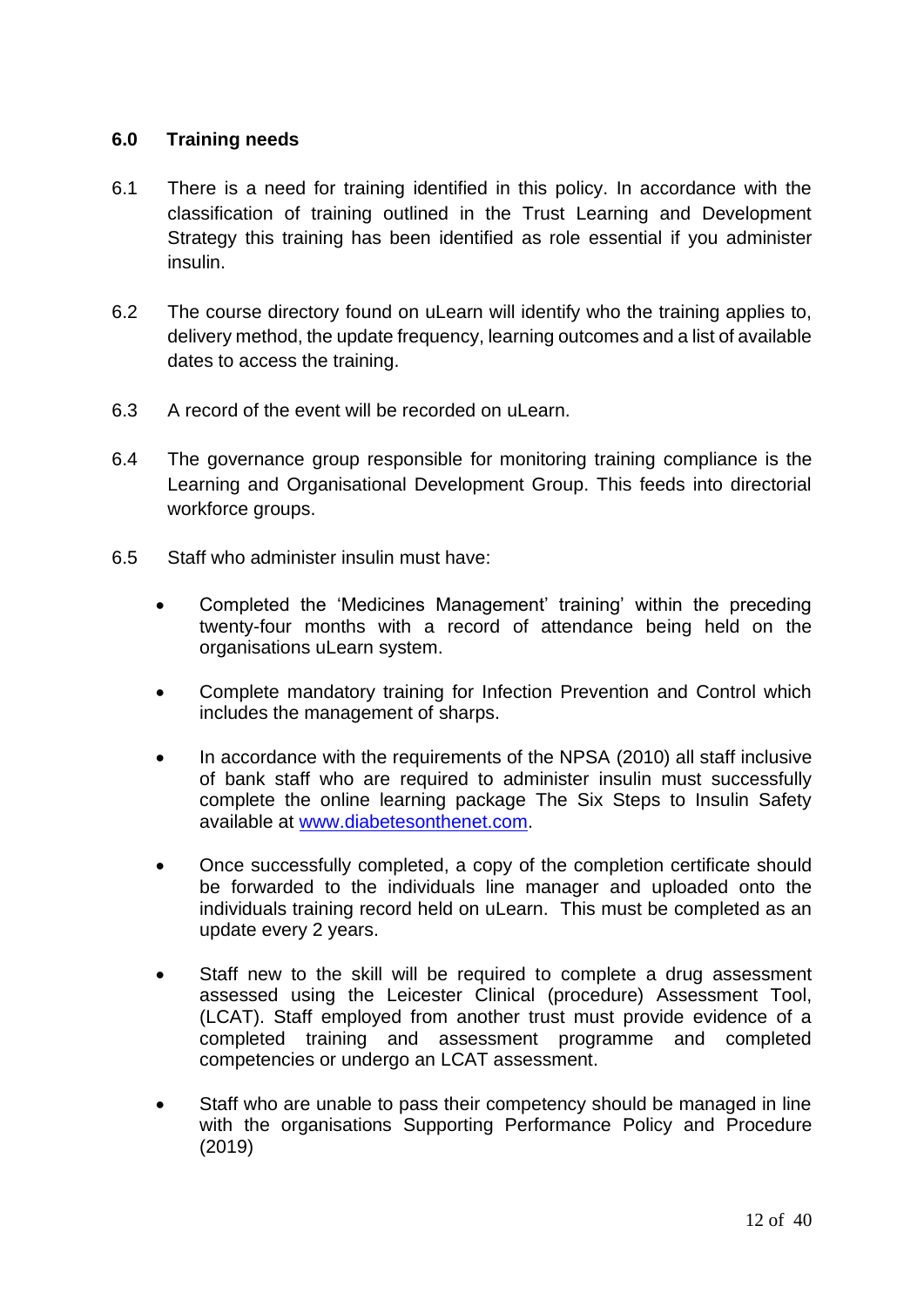#### **6.0 Training needs**

- 6.1 There is a need for training identified in this policy. In accordance with the classification of training outlined in the Trust Learning and Development Strategy this training has been identified as role essential if you administer insulin.
- 6.2 The course directory found on uLearn will identify who the training applies to, delivery method, the update frequency, learning outcomes and a list of available dates to access the training.
- 6.3 A record of the event will be recorded on uLearn.
- 6.4 The governance group responsible for monitoring training compliance is the Learning and Organisational Development Group. This feeds into directorial workforce groups.
- 6.5 Staff who administer insulin must have:
	- Completed the 'Medicines Management' training' within the preceding twenty-four months with a record of attendance being held on the organisations uLearn system.
	- Complete mandatory training for Infection Prevention and Control which includes the management of sharps.
	- In accordance with the requirements of the NPSA (2010) all staff inclusive of bank staff who are required to administer insulin must successfully complete the online learning package The Six Steps to Insulin Safety available at [www.diabetesonthenet.com.](http://www.diabetesonthenet.com/)
	- Once successfully completed, a copy of the completion certificate should be forwarded to the individuals line manager and uploaded onto the individuals training record held on uLearn. This must be completed as an update every 2 years.
	- Staff new to the skill will be required to complete a drug assessment assessed using the Leicester Clinical (procedure) Assessment Tool, (LCAT). Staff employed from another trust must provide evidence of a completed training and assessment programme and completed competencies or undergo an LCAT assessment.
	- Staff who are unable to pass their competency should be managed in line with the organisations Supporting Performance Policy and Procedure (2019)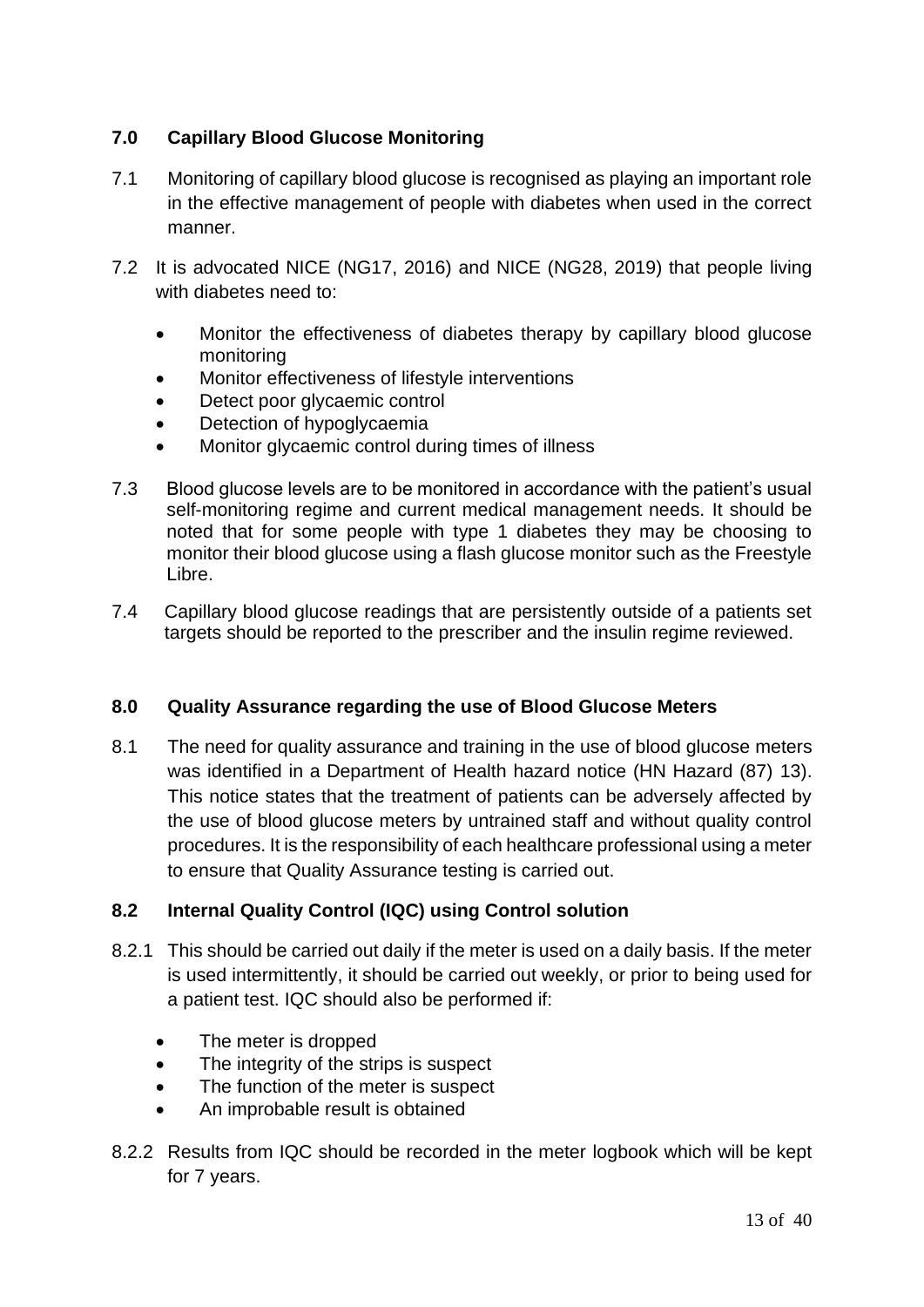#### **7.0 Capillary Blood Glucose Monitoring**

- 7.1 Monitoring of capillary blood glucose is recognised as playing an important role in the effective management of people with diabetes when used in the correct manner.
- 7.2 It is advocated NICE (NG17, 2016) and NICE (NG28, 2019) that people living with diabetes need to:
	- Monitor the effectiveness of diabetes therapy by capillary blood glucose monitoring
	- Monitor effectiveness of lifestyle interventions
	- Detect poor glycaemic control
	- Detection of hypoglycaemia
	- Monitor glycaemic control during times of illness
- 7.3 Blood glucose levels are to be monitored in accordance with the patient's usual self-monitoring regime and current medical management needs. It should be noted that for some people with type 1 diabetes they may be choosing to monitor their blood glucose using a flash glucose monitor such as the Freestyle Libre.
- 7.4 Capillary blood glucose readings that are persistently outside of a patients set targets should be reported to the prescriber and the insulin regime reviewed.

#### **8.0 Quality Assurance regarding the use of Blood Glucose Meters**

8.1 The need for quality assurance and training in the use of blood glucose meters was identified in a Department of Health hazard notice (HN Hazard (87) 13). This notice states that the treatment of patients can be adversely affected by the use of blood glucose meters by untrained staff and without quality control procedures. It is the responsibility of each healthcare professional using a meter to ensure that Quality Assurance testing is carried out.

#### **8.2 Internal Quality Control (IQC) using Control solution**

- 8.2.1 This should be carried out daily if the meter is used on a daily basis. If the meter is used intermittently, it should be carried out weekly, or prior to being used for a patient test. IQC should also be performed if:
	- The meter is dropped
	- The integrity of the strips is suspect
	- The function of the meter is suspect
	- An improbable result is obtained
- 8.2.2 Results from IQC should be recorded in the meter logbook which will be kept for 7 years.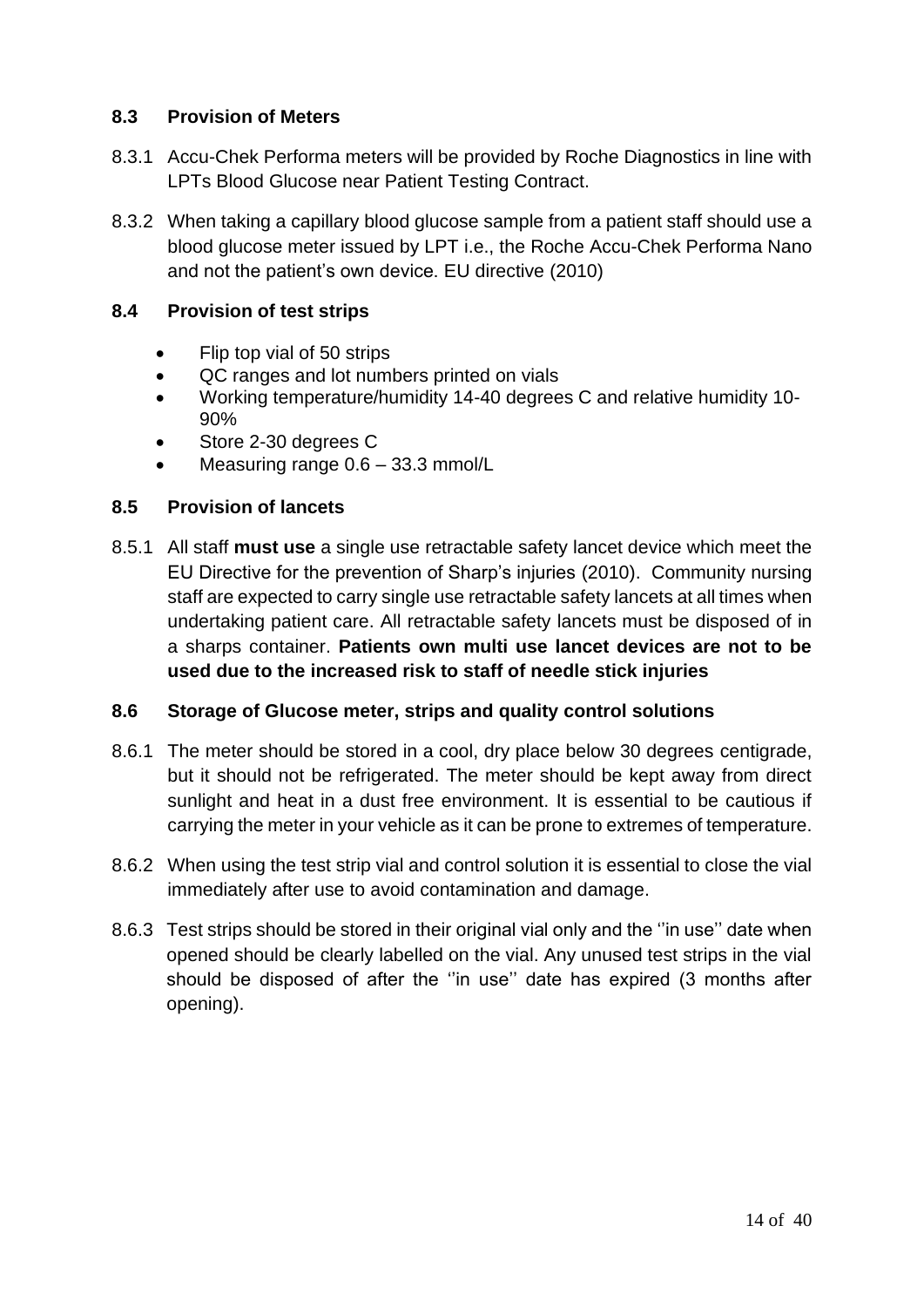#### **8.3 Provision of Meters**

- 8.3.1 Accu-Chek Performa meters will be provided by Roche Diagnostics in line with LPTs Blood Glucose near Patient Testing Contract.
- 8.3.2 When taking a capillary blood glucose sample from a patient staff should use a blood glucose meter issued by LPT i.e., the Roche Accu-Chek Performa Nano and not the patient's own device. EU directive (2010)

#### **8.4 Provision of test strips**

- Flip top vial of 50 strips
- QC ranges and lot numbers printed on vials
- Working temperature/humidity 14-40 degrees C and relative humidity 10- 90%
- Store 2-30 degrees C
- Measuring range  $0.6 33.3$  mmol/L

#### **8.5 Provision of lancets**

8.5.1 All staff **must use** a single use retractable safety lancet device which meet the EU Directive for the prevention of Sharp's injuries (2010). Community nursing staff are expected to carry single use retractable safety lancets at all times when undertaking patient care. All retractable safety lancets must be disposed of in a sharps container. **Patients own multi use lancet devices are not to be used due to the increased risk to staff of needle stick injuries**

#### **8.6 Storage of Glucose meter, strips and quality control solutions**

- 8.6.1 The meter should be stored in a cool, dry place below 30 degrees centigrade, but it should not be refrigerated. The meter should be kept away from direct sunlight and heat in a dust free environment. It is essential to be cautious if carrying the meter in your vehicle as it can be prone to extremes of temperature.
- 8.6.2 When using the test strip vial and control solution it is essential to close the vial immediately after use to avoid contamination and damage.
- 8.6.3 Test strips should be stored in their original vial only and the ''in use'' date when opened should be clearly labelled on the vial. Any unused test strips in the vial should be disposed of after the ''in use'' date has expired (3 months after opening).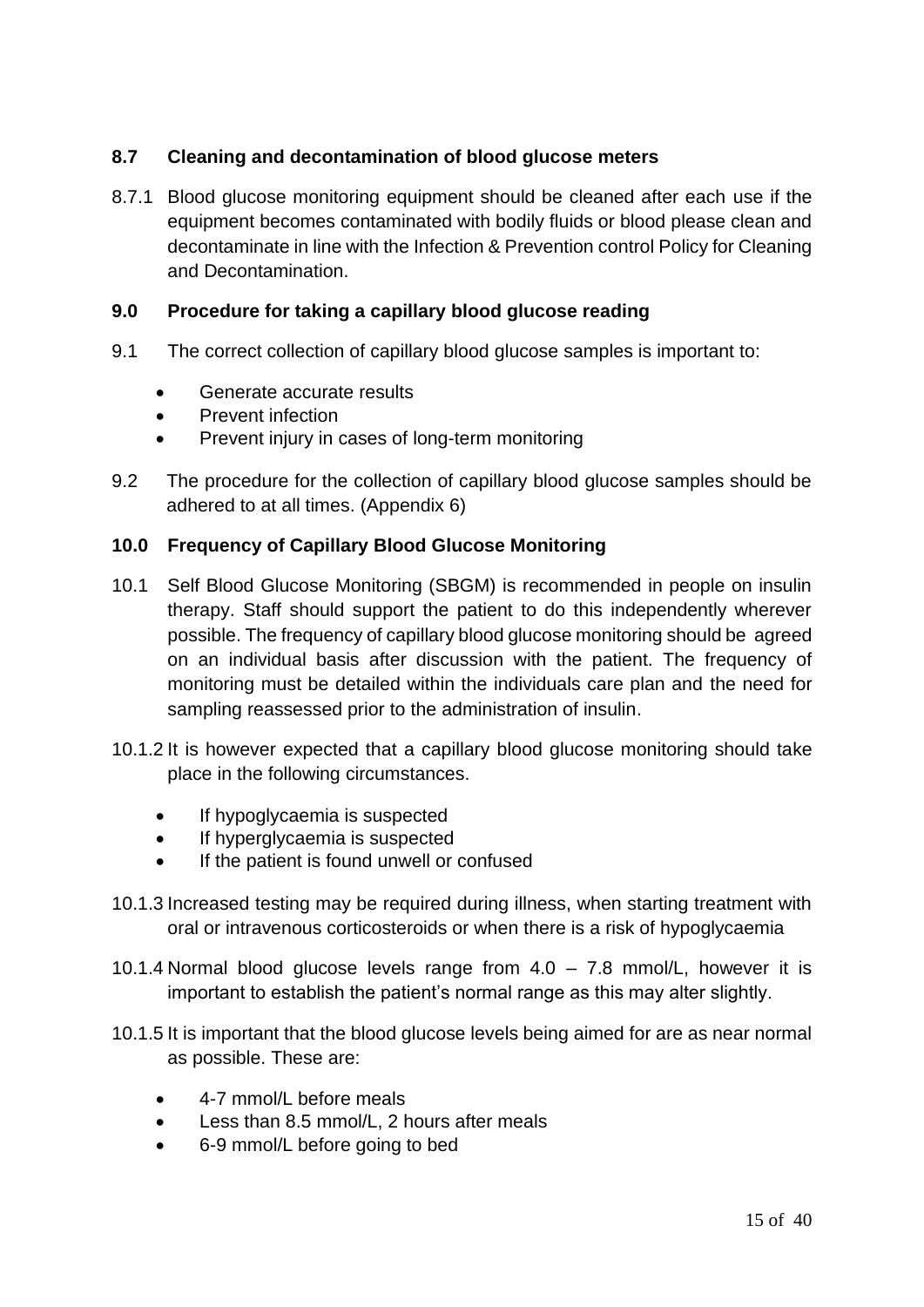#### **8.7 Cleaning and decontamination of blood glucose meters**

8.7.1 Blood glucose monitoring equipment should be cleaned after each use if the equipment becomes contaminated with bodily fluids or blood please clean and decontaminate in line with the Infection & Prevention control Policy for Cleaning and Decontamination.

#### **9.0 Procedure for taking a capillary blood glucose reading**

- 9.1 The correct collection of capillary blood glucose samples is important to:
	- Generate accurate results
	- Prevent infection
	- Prevent injury in cases of long-term monitoring
- 9.2 The procedure for the collection of capillary blood glucose samples should be adhered to at all times. (Appendix 6)

#### **10.0 Frequency of Capillary Blood Glucose Monitoring**

- 10.1 Self Blood Glucose Monitoring (SBGM) is recommended in people on insulin therapy. Staff should support the patient to do this independently wherever possible. The frequency of capillary blood glucose monitoring should be agreed on an individual basis after discussion with the patient. The frequency of monitoring must be detailed within the individuals care plan and the need for sampling reassessed prior to the administration of insulin.
- 10.1.2 It is however expected that a capillary blood glucose monitoring should take place in the following circumstances.
	- If hypoglycaemia is suspected
	- If hyperglycaemia is suspected
	- If the patient is found unwell or confused
- 10.1.3 Increased testing may be required during illness, when starting treatment with oral or intravenous corticosteroids or when there is a risk of hypoglycaemia
- 10.1.4 Normal blood glucose levels range from 4.0 7.8 mmol/L, however it is important to establish the patient's normal range as this may alter slightly.
- 10.1.5 It is important that the blood glucose levels being aimed for are as near normal as possible. These are:
	- 4-7 mmol/L before meals
	- Less than 8.5 mmol/L, 2 hours after meals
	- 6-9 mmol/L before going to bed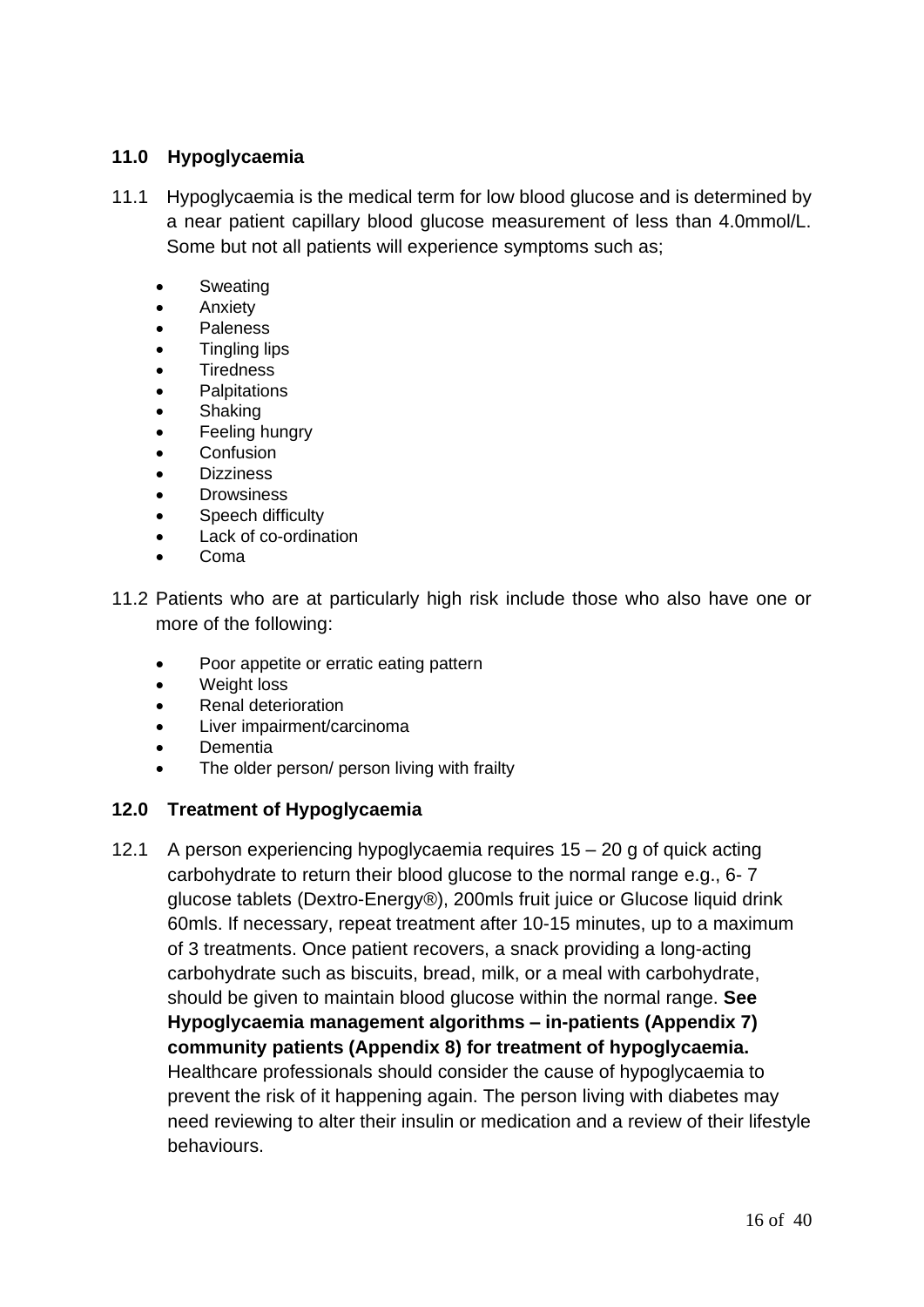#### **11.0 Hypoglycaemia**

- 11.1 Hypoglycaemia is the medical term for low blood glucose and is determined by a near patient capillary blood glucose measurement of less than 4.0mmol/L. Some but not all patients will experience symptoms such as;
	- **Sweating**
	- Anxiety
	- **Paleness**
	- Tingling lips
	- **Tiredness**
	- **Palpitations**
	- **Shaking**
	- Feeling hungry
	- Confusion
	- **Dizziness**
	- **Drowsiness**
	- Speech difficulty
	- Lack of co-ordination
	- Coma
- 11.2 Patients who are at particularly high risk include those who also have one or more of the following:
	- Poor appetite or erratic eating pattern
	- Weight loss
	- Renal deterioration
	- Liver impairment/carcinoma
	- **Dementia**
	- The older person/ person living with frailty

#### **12.0 Treatment of Hypoglycaemia**

12.1 A person experiencing hypoglycaemia requires 15 – 20 g of quick acting carbohydrate to return their blood glucose to the normal range e.g., 6- 7 glucose tablets (Dextro-Energy®), 200mls fruit juice or Glucose liquid drink 60mls. If necessary, repeat treatment after 10-15 minutes, up to a maximum of 3 treatments. Once patient recovers, a snack providing a long-acting carbohydrate such as biscuits, bread, milk, or a meal with carbohydrate, should be given to maintain blood glucose within the normal range. **See Hypoglycaemia management algorithms – in-patients (Appendix 7) community patients (Appendix 8) for treatment of hypoglycaemia.** Healthcare professionals should consider the cause of hypoglycaemia to prevent the risk of it happening again. The person living with diabetes may need reviewing to alter their insulin or medication and a review of their lifestyle behaviours.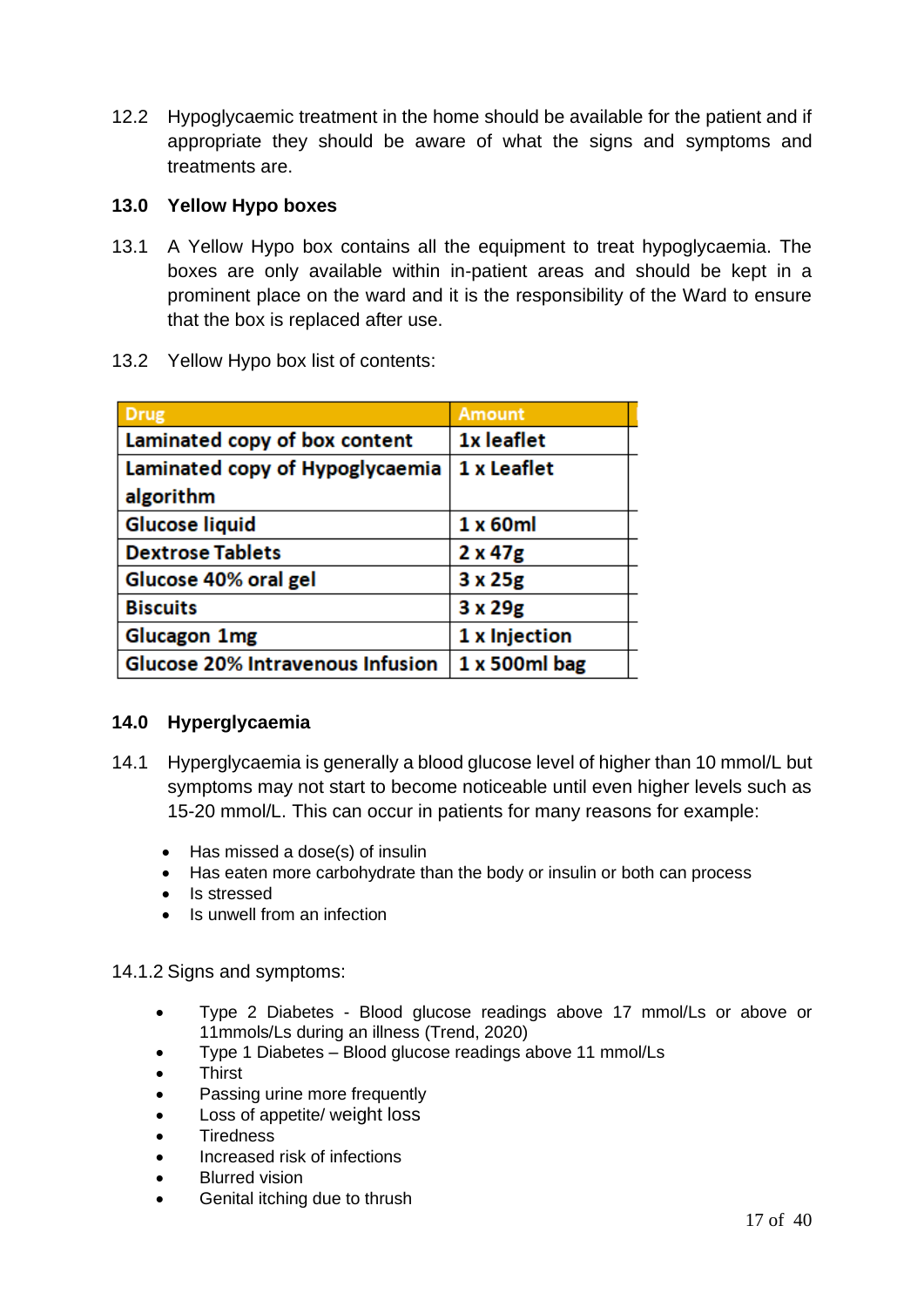12.2 Hypoglycaemic treatment in the home should be available for the patient and if appropriate they should be aware of what the signs and symptoms and treatments are.

#### **13.0 Yellow Hypo boxes**

- 13.1 A Yellow Hypo box contains all the equipment to treat hypoglycaemia. The boxes are only available within in-patient areas and should be kept in a prominent place on the ward and it is the responsibility of the Ward to ensure that the box is replaced after use.
- 13.2 Yellow Hypo box list of contents:

| <b>Drug</b>                      | <b>Amount</b>  |
|----------------------------------|----------------|
| Laminated copy of box content    | 1x leaflet     |
| Laminated copy of Hypoglycaemia  | 1 x Leaflet    |
| algorithm                        |                |
| <b>Glucose liquid</b>            | 1 x 60ml       |
| <b>Dextrose Tablets</b>          | $2 \times 47g$ |
| Glucose 40% oral gel             | $3 \times 25g$ |
| <b>Biscuits</b>                  | $3 \times 29g$ |
| <b>Glucagon 1mg</b>              | 1 x Injection  |
| Glucose 20% Intravenous Infusion | 1 x 500ml bag  |

#### **14.0 Hyperglycaemia**

- 14.1 Hyperglycaemia is generally a blood glucose level of higher than 10 mmol/L but symptoms may not start to become noticeable until even higher levels such as 15-20 mmol/L. This can occur in patients for many reasons for example:
	- Has missed a dose(s) of insulin
	- Has eaten more carbohydrate than the body or insulin or both can process
	- Is stressed
	- Is unwell from an infection

#### 14.1.2 Signs and symptoms:

- Type 2 Diabetes Blood glucose readings above 17 mmol/Ls or above or 11mmols/Ls during an illness (Trend, 2020)
- Type 1 Diabetes Blood glucose readings above 11 mmol/Ls
- **Thirst**
- Passing urine more frequently
- Loss of appetite/ weight loss
- **Tiredness**
- Increased risk of infections
- **Blurred vision**
- Genital itching due to thrush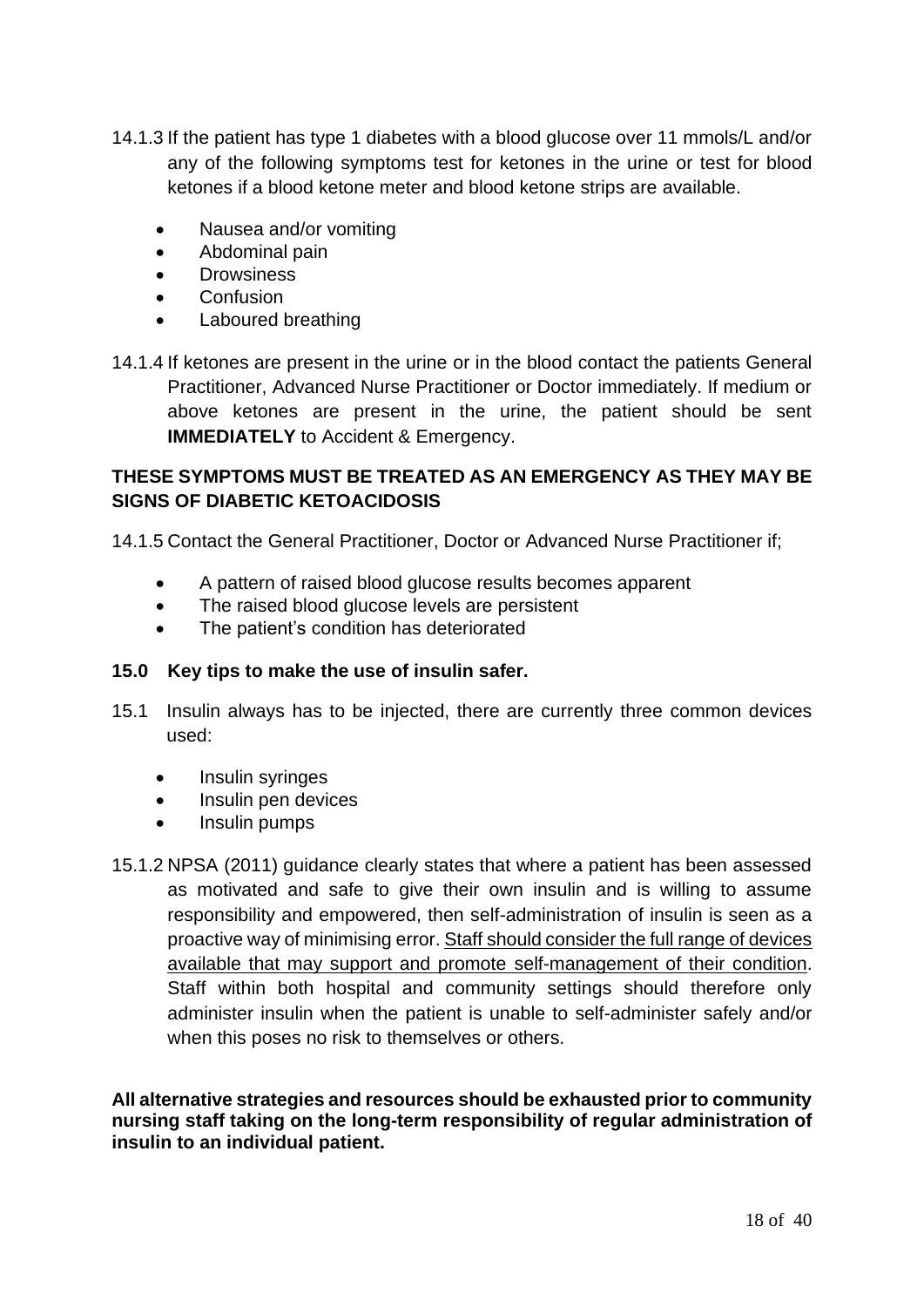- 14.1.3 If the patient has type 1 diabetes with a blood glucose over 11 mmols/L and/or any of the following symptoms test for ketones in the urine or test for blood ketones if a blood ketone meter and blood ketone strips are available.
	- Nausea and/or vomiting
	- Abdominal pain
	- Drowsiness
	- **Confusion**
	- Laboured breathing
- 14.1.4 If ketones are present in the urine or in the blood contact the patients General Practitioner, Advanced Nurse Practitioner or Doctor immediately. If medium or above ketones are present in the urine, the patient should be sent **IMMEDIATELY** to Accident & Emergency.

#### **THESE SYMPTOMS MUST BE TREATED AS AN EMERGENCY AS THEY MAY BE SIGNS OF DIABETIC KETOACIDOSIS**

14.1.5 Contact the General Practitioner, Doctor or Advanced Nurse Practitioner if;

- A pattern of raised blood glucose results becomes apparent
- The raised blood glucose levels are persistent
- The patient's condition has deteriorated

#### **15.0 Key tips to make the use of insulin safer.**

- 15.1 Insulin always has to be injected, there are currently three common devices used:
	- Insulin syringes
	- Insulin pen devices
	- Insulin pumps
- 15.1.2 NPSA (2011) guidance clearly states that where a patient has been assessed as motivated and safe to give their own insulin and is willing to assume responsibility and empowered, then self-administration of insulin is seen as a proactive way of minimising error. Staff should consider the full range of devices available that may support and promote self-management of their condition. Staff within both hospital and community settings should therefore only administer insulin when the patient is unable to self-administer safely and/or when this poses no risk to themselves or others.

**All alternative strategies and resources should be exhausted prior to community nursing staff taking on the long-term responsibility of regular administration of insulin to an individual patient.**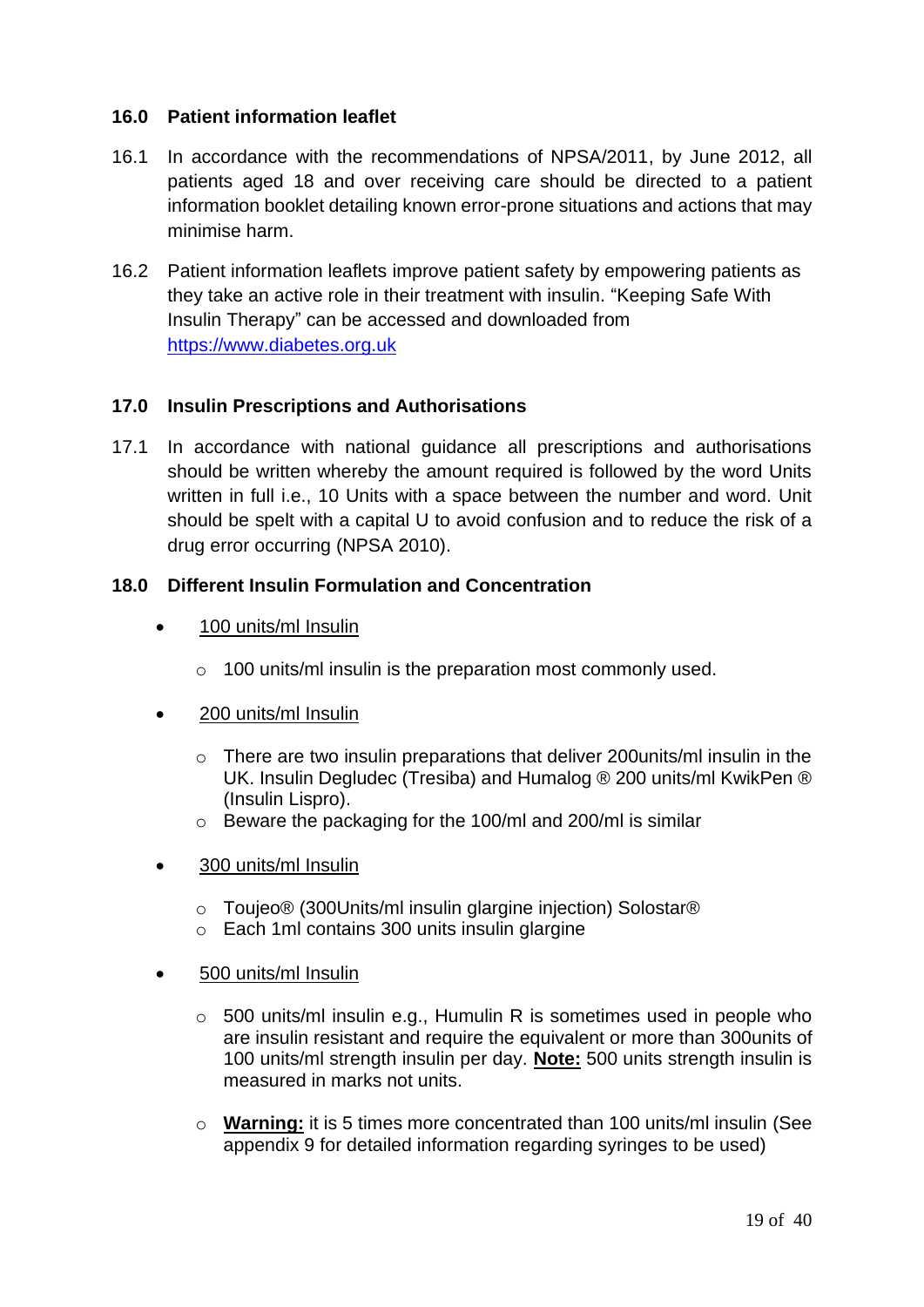#### **16.0 Patient information leaflet**

- 16.1 In accordance with the recommendations of NPSA/2011, by June 2012, all patients aged 18 and over receiving care should be directed to a patient information booklet detailing known error-prone situations and actions that may minimise harm.
- 16.2 Patient information leaflets improve patient safety by empowering patients as they take an active role in their treatment with insulin. "Keeping Safe With Insulin Therapy" can be accessed and downloaded from https://www.diabetes.org.uk

#### **17.0 Insulin Prescriptions and Authorisations**

17.1 In accordance with national guidance all prescriptions and authorisations should be written whereby the amount required is followed by the word Units written in full i.e., 10 Units with a space between the number and word. Unit should be spelt with a capital U to avoid confusion and to reduce the risk of a drug error occurring (NPSA 2010).

#### **18.0 Different Insulin Formulation and Concentration**

- 100 units/ml Insulin
	- o 100 units/ml insulin is the preparation most commonly used.
- 200 units/ml Insulin
	- $\circ$  There are two insulin preparations that deliver 200 units/ml insulin in the UK. Insulin Degludec (Tresiba) and Humalog ® 200 units/ml KwikPen ® (Insulin Lispro).
	- o Beware the packaging for the 100/ml and 200/ml is similar
- 300 units/ml Insulin
	- o Toujeo® (300Units/ml insulin glargine injection) Solostar®
	- o Each 1ml contains 300 units insulin glargine
- 500 units/ml Insulin
	- $\circ$  500 units/ml insulin e.g., Humulin R is sometimes used in people who are insulin resistant and require the equivalent or more than 300units of 100 units/ml strength insulin per day. **Note:** 500 units strength insulin is measured in marks not units.
	- o **Warning:** it is 5 times more concentrated than 100 units/ml insulin (See appendix 9 for detailed information regarding syringes to be used)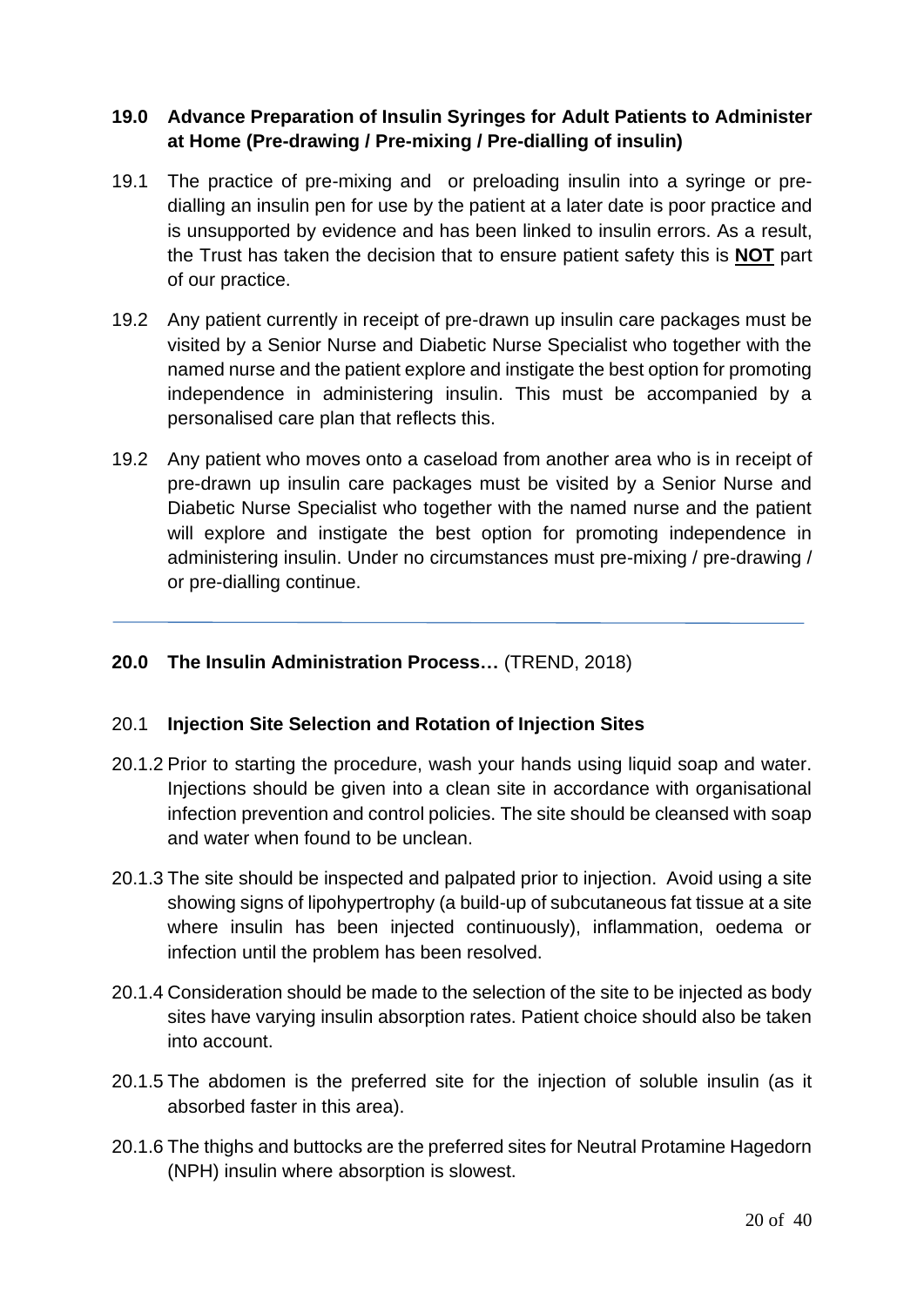#### **19.0 Advance Preparation of Insulin Syringes for Adult Patients to Administer at Home (Pre-drawing / Pre-mixing / Pre-dialling of insulin)**

- 19.1 The practice of pre-mixing and or preloading insulin into a syringe or predialling an insulin pen for use by the patient at a later date is poor practice and is unsupported by evidence and has been linked to insulin errors. As a result, the Trust has taken the decision that to ensure patient safety this is **NOT** part of our practice.
- 19.2 Any patient currently in receipt of pre-drawn up insulin care packages must be visited by a Senior Nurse and Diabetic Nurse Specialist who together with the named nurse and the patient explore and instigate the best option for promoting independence in administering insulin. This must be accompanied by a personalised care plan that reflects this.
- 19.2 Any patient who moves onto a caseload from another area who is in receipt of pre-drawn up insulin care packages must be visited by a Senior Nurse and Diabetic Nurse Specialist who together with the named nurse and the patient will explore and instigate the best option for promoting independence in administering insulin. Under no circumstances must pre-mixing / pre-drawing / or pre-dialling continue.

#### **20.0 The Insulin Administration Process…** (TREND, 2018)

#### 20.1 **Injection Site Selection and Rotation of Injection Sites**

- 20.1.2 Prior to starting the procedure, wash your hands using liquid soap and water. Injections should be given into a clean site in accordance with organisational infection prevention and control policies. The site should be cleansed with soap and water when found to be unclean.
- 20.1.3 The site should be inspected and palpated prior to injection. Avoid using a site showing signs of lipohypertrophy (a build-up of subcutaneous fat tissue at a site where insulin has been injected continuously), inflammation, oedema or infection until the problem has been resolved.
- 20.1.4 Consideration should be made to the selection of the site to be injected as body sites have varying insulin absorption rates. Patient choice should also be taken into account.
- 20.1.5 The abdomen is the preferred site for the injection of soluble insulin (as it absorbed faster in this area).
- 20.1.6 The thighs and buttocks are the preferred sites for Neutral Protamine Hagedorn (NPH) insulin where absorption is slowest.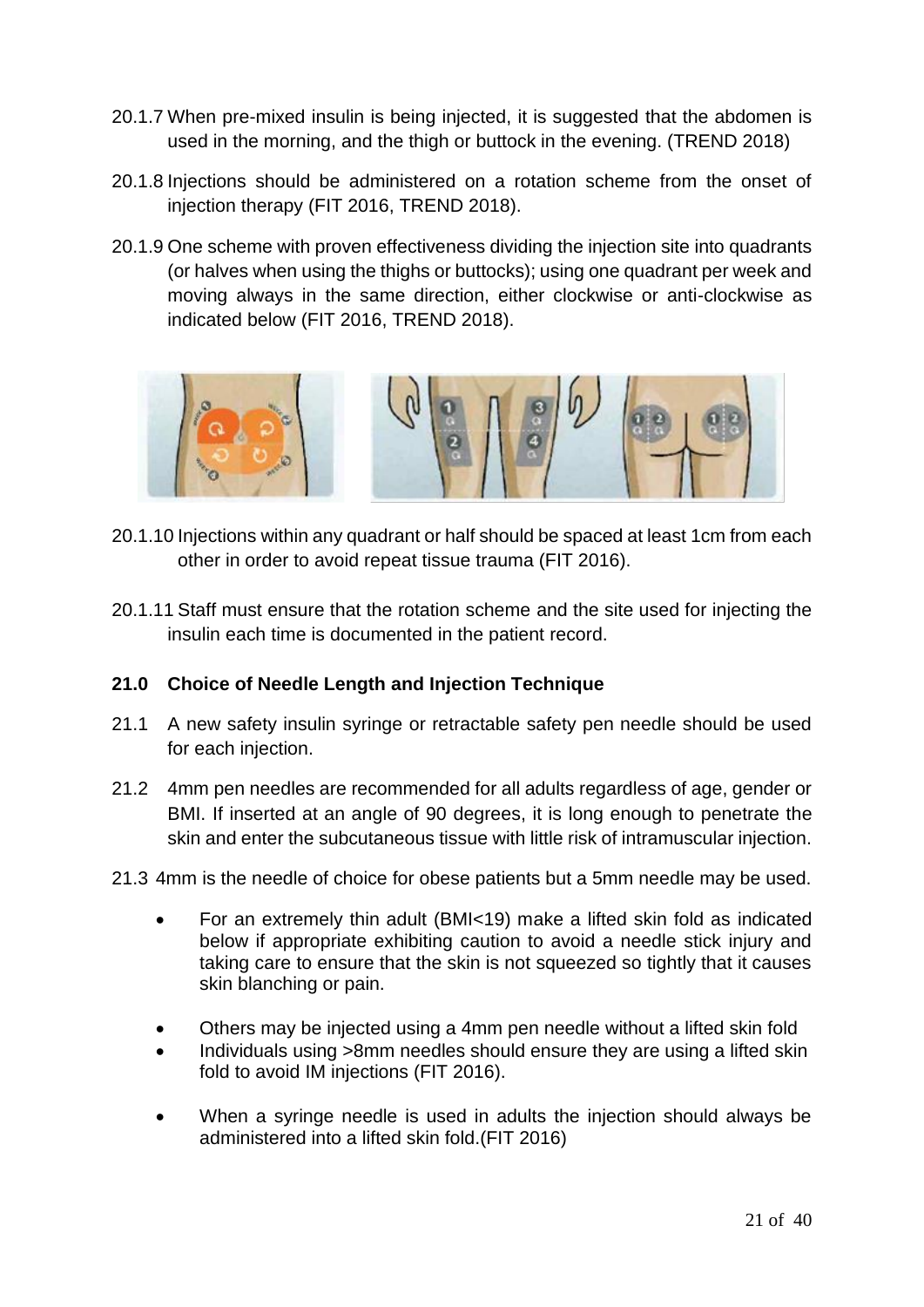- 20.1.7 When pre-mixed insulin is being injected, it is suggested that the abdomen is used in the morning, and the thigh or buttock in the evening. (TREND 2018)
- 20.1.8 Injections should be administered on a rotation scheme from the onset of injection therapy (FIT 2016, TREND 2018).
- 20.1.9 One scheme with proven effectiveness dividing the injection site into quadrants (or halves when using the thighs or buttocks); using one quadrant per week and moving always in the same direction, either clockwise or anti-clockwise as indicated below (FIT 2016, TREND 2018).



- 20.1.10 Injections within any quadrant or half should be spaced at least 1cm from each other in order to avoid repeat tissue trauma (FIT 2016).
- 20.1.11 Staff must ensure that the rotation scheme and the site used for injecting the insulin each time is documented in the patient record.

#### **21.0 Choice of Needle Length and Injection Technique**

- 21.1 A new safety insulin syringe or retractable safety pen needle should be used for each injection.
- 21.2 4mm pen needles are recommended for all adults regardless of age, gender or BMI. If inserted at an angle of 90 degrees, it is long enough to penetrate the skin and enter the subcutaneous tissue with little risk of intramuscular injection.

#### 21.3 4mm is the needle of choice for obese patients but a 5mm needle may be used.

- For an extremely thin adult (BMI<19) make a lifted skin fold as indicated below if appropriate exhibiting caution to avoid a needle stick injury and taking care to ensure that the skin is not squeezed so tightly that it causes skin blanching or pain.
- Others may be injected using a 4mm pen needle without a lifted skin fold
- Individuals using >8mm needles should ensure they are using a lifted skin fold to avoid IM injections (FIT 2016).
- When a syringe needle is used in adults the injection should always be administered into a lifted skin fold.(FIT 2016)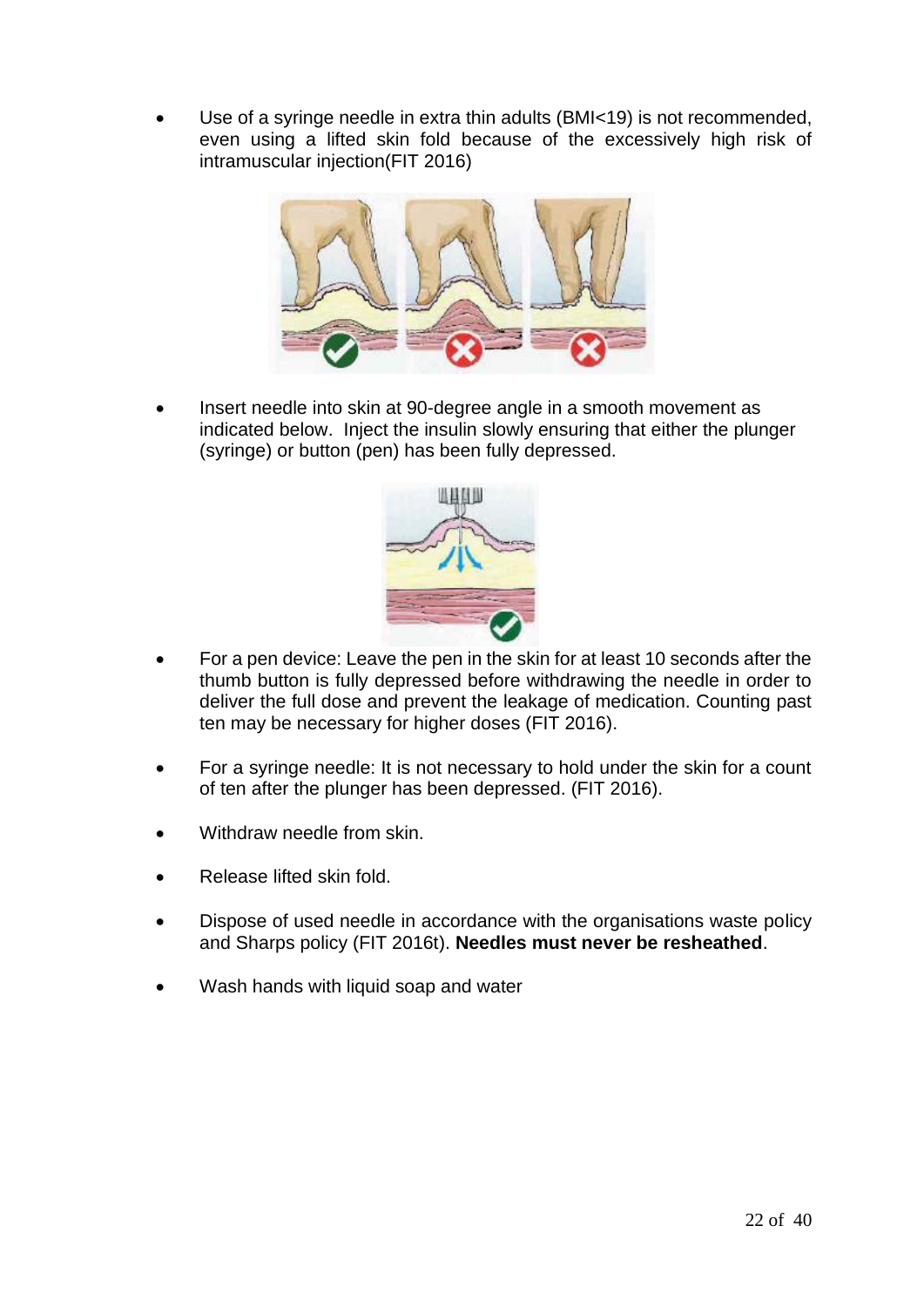Use of a syringe needle in extra thin adults (BMI<19) is not recommended, even using a lifted skin fold because of the excessively high risk of intramuscular injection(FIT 2016)



• Insert needle into skin at 90-degree angle in a smooth movement as indicated below. Inject the insulin slowly ensuring that either the plunger (syringe) or button (pen) has been fully depressed.



- For a pen device: Leave the pen in the skin for at least 10 seconds after the thumb button is fully depressed before withdrawing the needle in order to deliver the full dose and prevent the leakage of medication. Counting past ten may be necessary for higher doses (FIT 2016).
- For a syringe needle: It is not necessary to hold under the skin for a count of ten after the plunger has been depressed. (FIT 2016).
- Withdraw needle from skin.
- Release lifted skin fold.
- Dispose of used needle in accordance with the organisations waste policy and Sharps policy (FIT 2016t). **Needles must never be resheathed**.
- Wash hands with liquid soap and water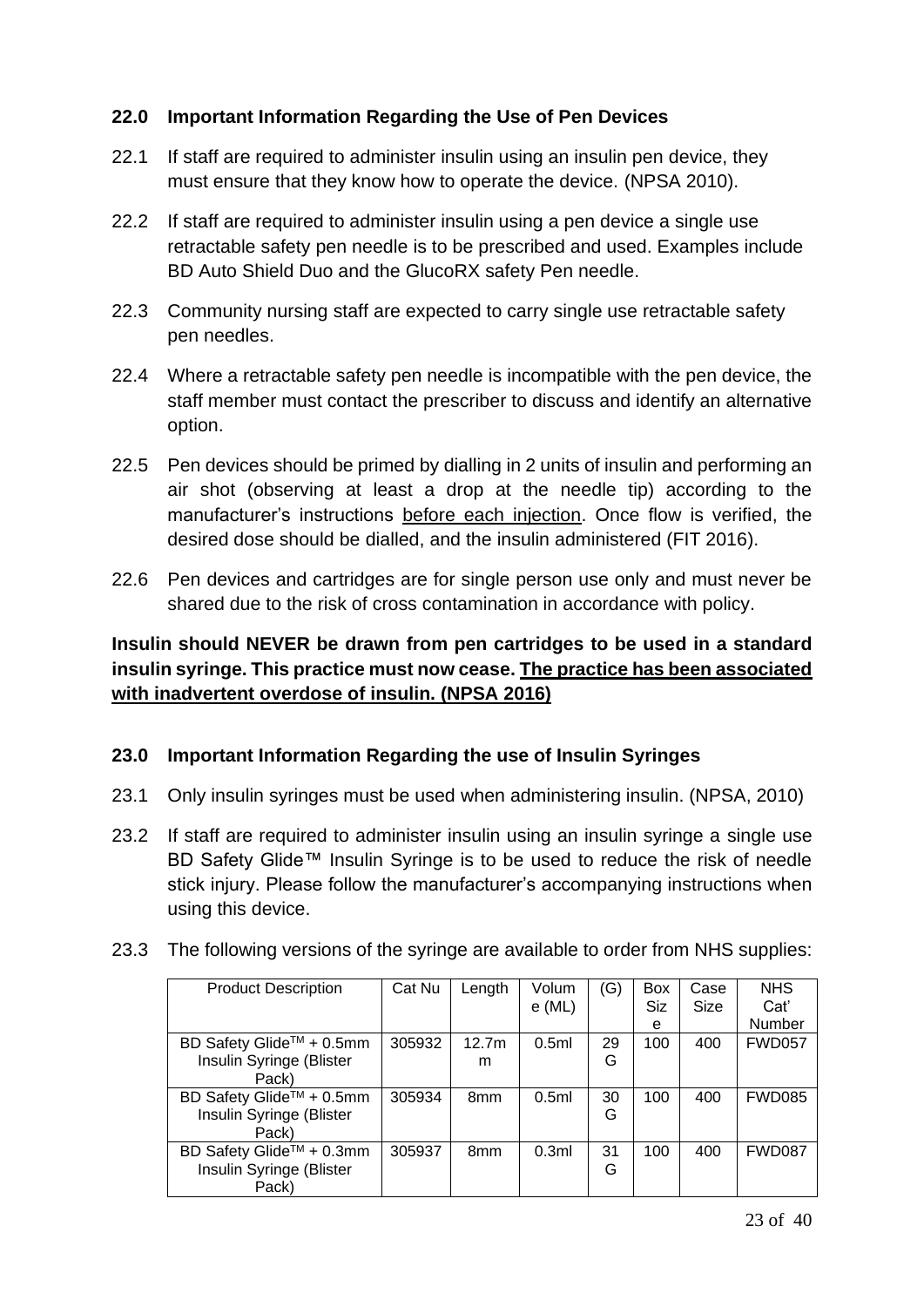#### **22.0 Important Information Regarding the Use of Pen Devices**

- 22.1 If staff are required to administer insulin using an insulin pen device, they must ensure that they know how to operate the device. (NPSA 2010).
- 22.2 If staff are required to administer insulin using a pen device a single use retractable safety pen needle is to be prescribed and used. Examples include BD Auto Shield Duo and the GlucoRX safety Pen needle.
- 22.3 Community nursing staff are expected to carry single use retractable safety pen needles.
- 22.4 Where a retractable safety pen needle is incompatible with the pen device, the staff member must contact the prescriber to discuss and identify an alternative option.
- 22.5 Pen devices should be primed by dialling in 2 units of insulin and performing an air shot (observing at least a drop at the needle tip) according to the manufacturer's instructions before each injection. Once flow is verified, the desired dose should be dialled, and the insulin administered (FIT 2016).
- 22.6 Pen devices and cartridges are for single person use only and must never be shared due to the risk of cross contamination in accordance with policy.

#### **Insulin should NEVER be drawn from pen cartridges to be used in a standard insulin syringe. This practice must now cease. The practice has been associated with inadvertent overdose of insulin. (NPSA 2016)**

#### **23.0 Important Information Regarding the use of Insulin Syringes**

- 23.1 Only insulin syringes must be used when administering insulin. (NPSA, 2010)
- 23.2 If staff are required to administer insulin using an insulin syringe a single use BD Safety Glide™ Insulin Syringe is to be used to reduce the risk of needle stick injury. Please follow the manufacturer's accompanying instructions when using this device.
- 23.3 The following versions of the syringe are available to order from NHS supplies:

| <b>Product Description</b> | Cat Nu | Length            | Volum    | (G) | <b>Box</b> | Case | <b>NHS</b>    |
|----------------------------|--------|-------------------|----------|-----|------------|------|---------------|
|                            |        |                   | $e$ (ML) |     | Siz        | Size | Cat'          |
|                            |        |                   |          |     | е          |      | Number        |
| BD Safety Glide™ + 0.5mm   | 305932 | 12.7 <sub>m</sub> | 0.5ml    | 29  | 100        | 400  | <b>FWD057</b> |
| Insulin Syringe (Blister   |        | m                 |          | G   |            |      |               |
| Pack)                      |        |                   |          |     |            |      |               |
| BD Safety Glide™ + 0.5mm   | 305934 | 8 <sub>mm</sub>   | 0.5ml    | 30  | 100        | 400  | <b>FWD085</b> |
| Insulin Syringe (Blister   |        |                   |          | G   |            |      |               |
| Pack)                      |        |                   |          |     |            |      |               |
| BD Safety Glide™ + 0.3mm   | 305937 | 8 <sub>mm</sub>   | 0.3ml    | 31  | 100        | 400  | <b>FWD087</b> |
| Insulin Syringe (Blister   |        |                   |          | G   |            |      |               |
| Pack)                      |        |                   |          |     |            |      |               |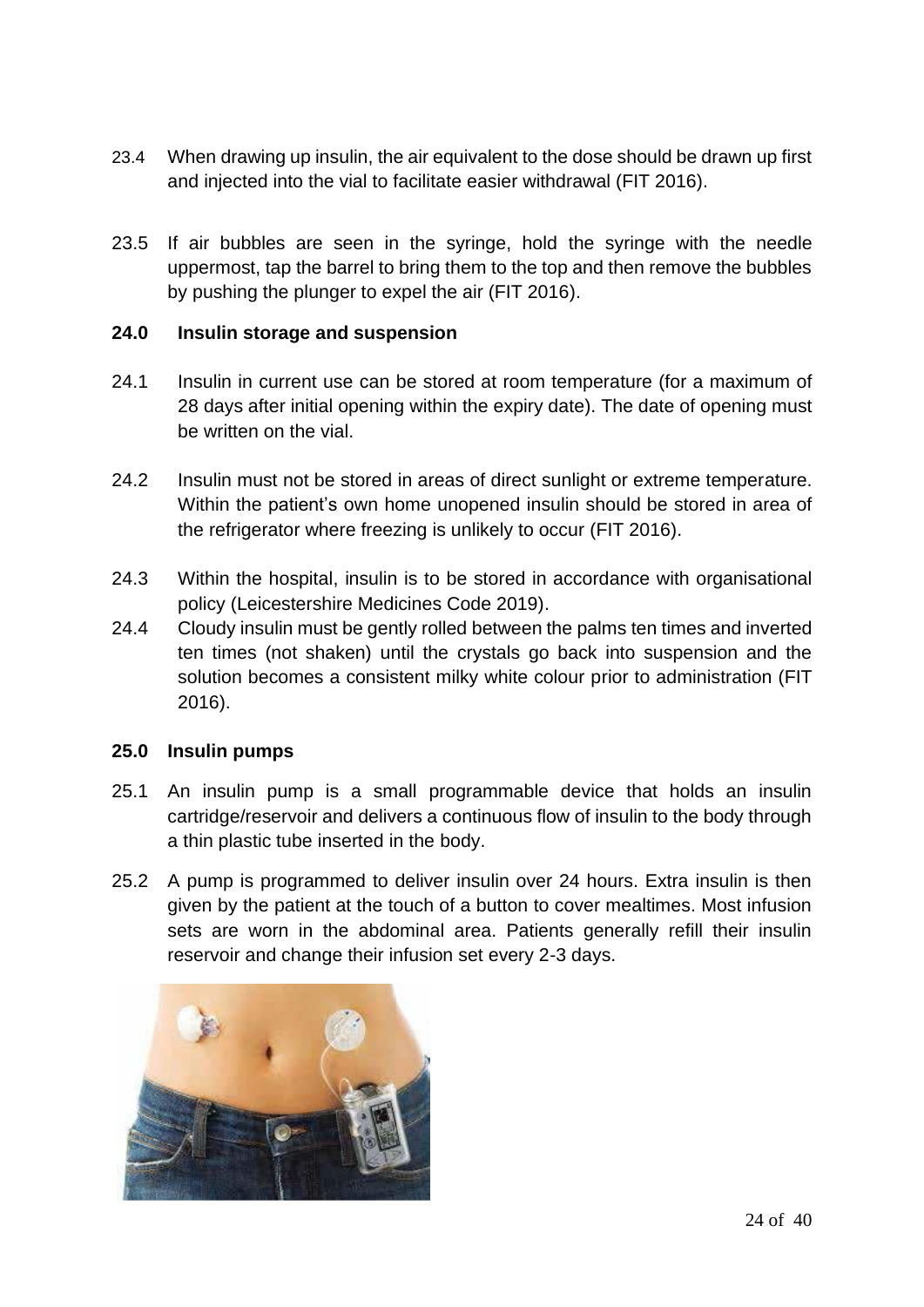- 23.4 When drawing up insulin, the air equivalent to the dose should be drawn up first and injected into the vial to facilitate easier withdrawal (FIT 2016).
- 23.5 If air bubbles are seen in the syringe, hold the syringe with the needle uppermost, tap the barrel to bring them to the top and then remove the bubbles by pushing the plunger to expel the air (FIT 2016).

#### **24.0 Insulin storage and suspension**

- 24.1 Insulin in current use can be stored at room temperature (for a maximum of 28 days after initial opening within the expiry date). The date of opening must be written on the vial.
- 24.2 Insulin must not be stored in areas of direct sunlight or extreme temperature. Within the patient's own home unopened insulin should be stored in area of the refrigerator where freezing is unlikely to occur (FIT 2016).
- 24.3 Within the hospital, insulin is to be stored in accordance with organisational policy (Leicestershire Medicines Code 2019).
- 24.4 Cloudy insulin must be gently rolled between the palms ten times and inverted ten times (not shaken) until the crystals go back into suspension and the solution becomes a consistent milky white colour prior to administration (FIT 2016).

#### **25.0 Insulin pumps**

- 25.1 An insulin pump is a small programmable device that holds an insulin cartridge/reservoir and delivers a continuous flow of insulin to the body through a thin plastic tube inserted in the body.
- 25.2 A pump is programmed to deliver insulin over 24 hours. Extra insulin is then given by the patient at the touch of a button to cover mealtimes. Most infusion sets are worn in the abdominal area. Patients generally refill their insulin reservoir and change their infusion set every 2-3 days.

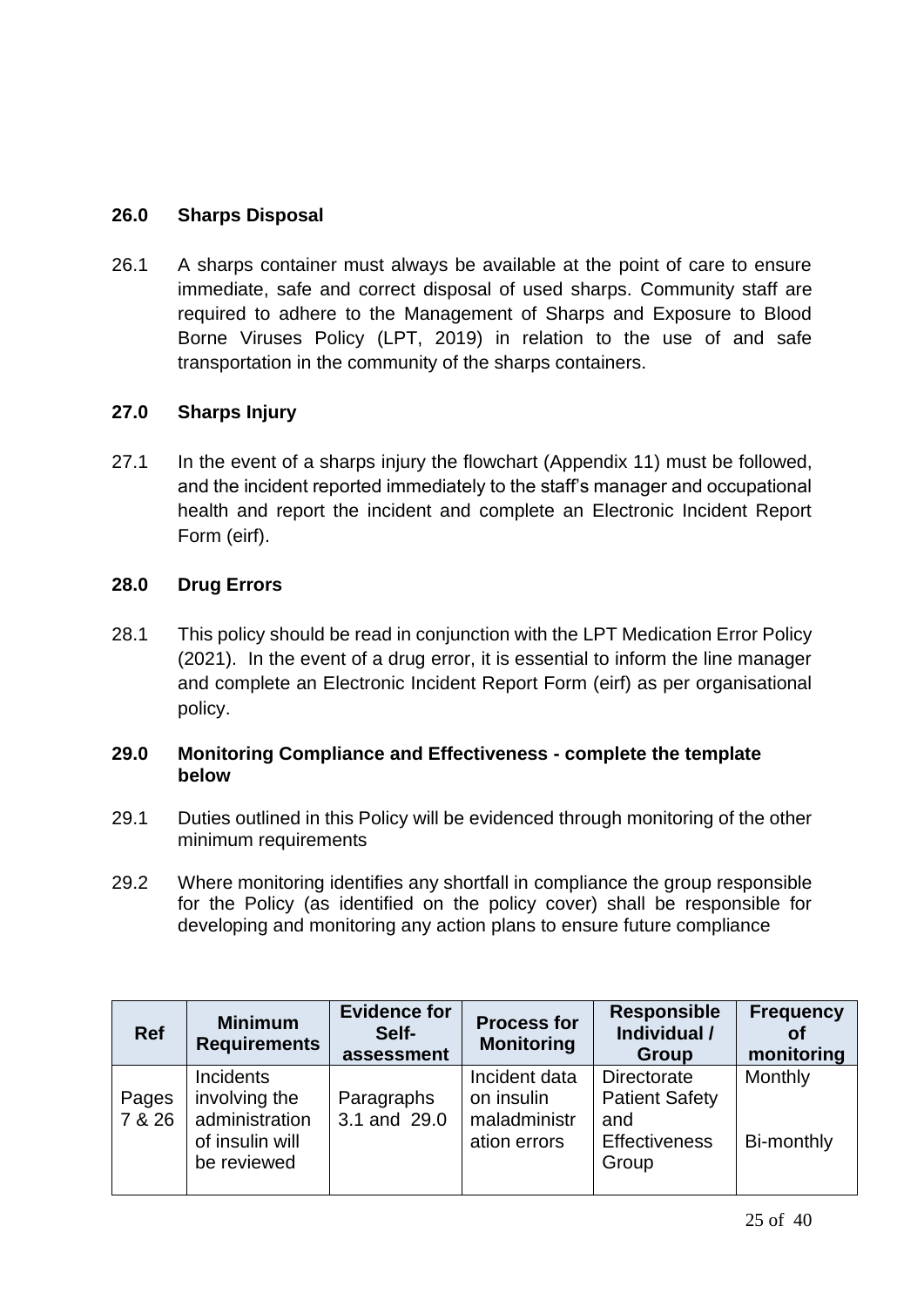#### **26.0 Sharps Disposal**

26.1 A sharps container must always be available at the point of care to ensure immediate, safe and correct disposal of used sharps. Community staff are required to adhere to the Management of Sharps and Exposure to Blood Borne Viruses Policy (LPT, 2019) in relation to the use of and safe transportation in the community of the sharps containers.

#### **27.0 Sharps Injury**

27.1 In the event of a sharps injury the flowchart (Appendix 11) must be followed, and the incident reported immediately to the staff's manager and occupational health and report the incident and complete an Electronic Incident Report Form (eirf).

#### **28.0 Drug Errors**

28.1 This policy should be read in conjunction with the LPT Medication Error Policy (2021). In the event of a drug error, it is essential to inform the line manager and complete an Electronic Incident Report Form (eirf) as per organisational policy.

#### **29.0 Monitoring Compliance and Effectiveness - complete the template below**

- 29.1 Duties outlined in this Policy will be evidenced through monitoring of the other minimum requirements
- 29.2 Where monitoring identifies any shortfall in compliance the group responsible for the Policy (as identified on the policy cover) shall be responsible for developing and monitoring any action plans to ensure future compliance

| <b>Ref</b>      | <b>Minimum</b><br><b>Requirements</b>                                          | <b>Evidence for</b><br>Self-<br>assessment | <b>Process for</b><br><b>Monitoring</b>                     | <b>Responsible</b><br>Individual /<br>Group                                  | Frequency<br>οf<br>monitoring |
|-----------------|--------------------------------------------------------------------------------|--------------------------------------------|-------------------------------------------------------------|------------------------------------------------------------------------------|-------------------------------|
| Pages<br>7 & 26 | Incidents<br>involving the<br>administration<br>of insulin will<br>be reviewed | Paragraphs<br>3.1 and 29.0                 | Incident data<br>on insulin<br>maladministr<br>ation errors | Directorate<br><b>Patient Safety</b><br>and<br><b>Effectiveness</b><br>Group | Monthly<br>Bi-monthly         |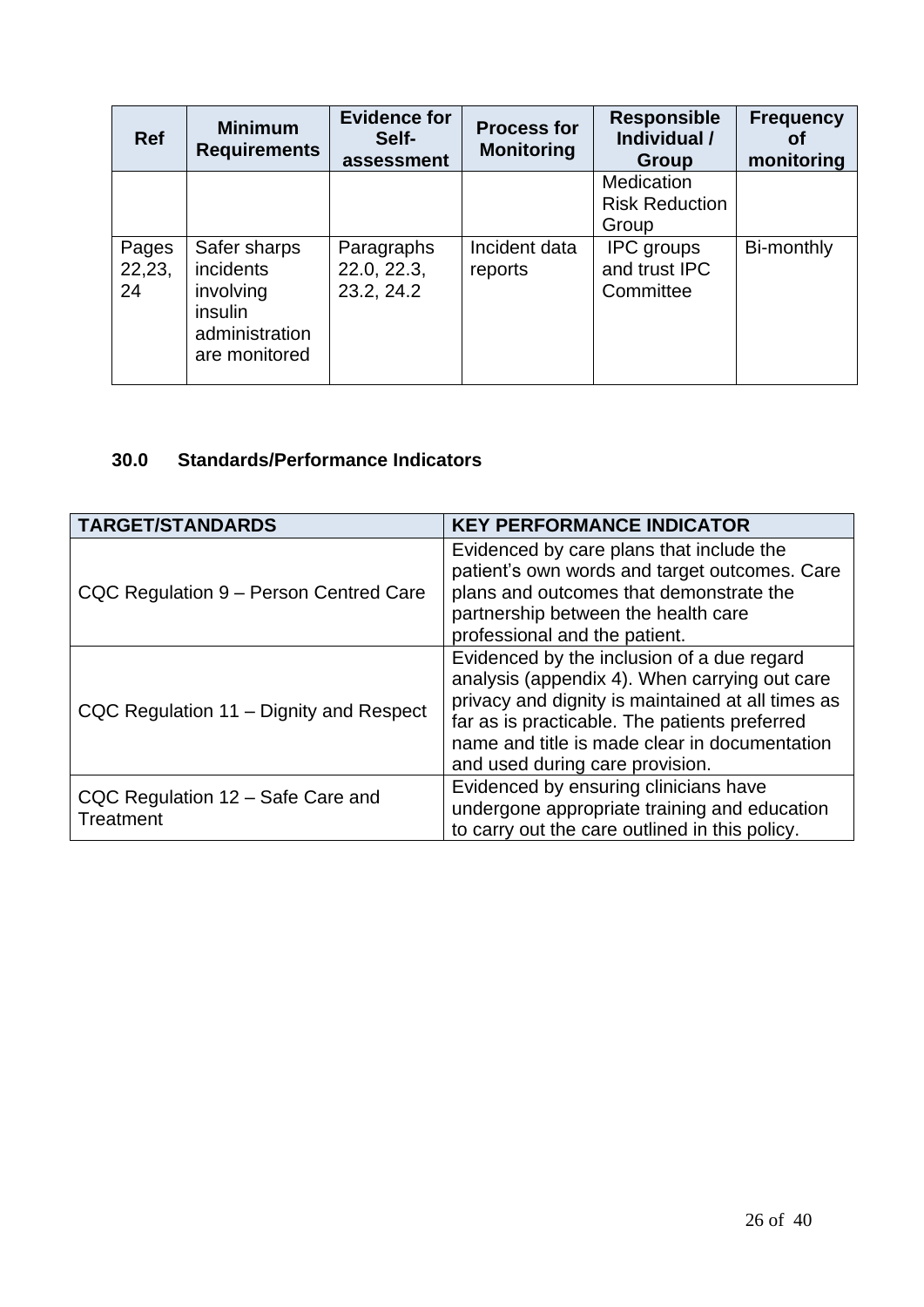| <b>Ref</b>            | <b>Minimum</b><br><b>Requirements</b>                                                       | <b>Evidence for</b><br>Self-<br>assessment | <b>Process for</b><br><b>Monitoring</b> | <b>Responsible</b><br>Individual /<br>Group     | <b>Frequency</b><br>Οt<br>monitoring |
|-----------------------|---------------------------------------------------------------------------------------------|--------------------------------------------|-----------------------------------------|-------------------------------------------------|--------------------------------------|
|                       |                                                                                             |                                            |                                         | Medication<br><b>Risk Reduction</b><br>Group    |                                      |
| Pages<br>22,23,<br>24 | Safer sharps<br><i>incidents</i><br>involving<br>insulin<br>administration<br>are monitored | Paragraphs<br>22.0, 22.3,<br>23.2, 24.2    | Incident data<br>reports                | <b>IPC</b> groups<br>and trust IPC<br>Committee | Bi-monthly                           |

#### **30.0 Standards/Performance Indicators**

| <b>TARGET/STANDARDS</b>                               | <b>KEY PERFORMANCE INDICATOR</b>                                                                                                                                                                                                                                                                                       |
|-------------------------------------------------------|------------------------------------------------------------------------------------------------------------------------------------------------------------------------------------------------------------------------------------------------------------------------------------------------------------------------|
| CQC Regulation 9 - Person Centred Care                | Evidenced by care plans that include the<br>patient's own words and target outcomes. Care<br>plans and outcomes that demonstrate the<br>partnership between the health care                                                                                                                                            |
| CQC Regulation 11 - Dignity and Respect               | professional and the patient.<br>Evidenced by the inclusion of a due regard<br>analysis (appendix 4). When carrying out care<br>privacy and dignity is maintained at all times as<br>far as is practicable. The patients preferred<br>name and title is made clear in documentation<br>and used during care provision. |
| CQC Regulation 12 - Safe Care and<br><b>Treatment</b> | Evidenced by ensuring clinicians have<br>undergone appropriate training and education<br>to carry out the care outlined in this policy.                                                                                                                                                                                |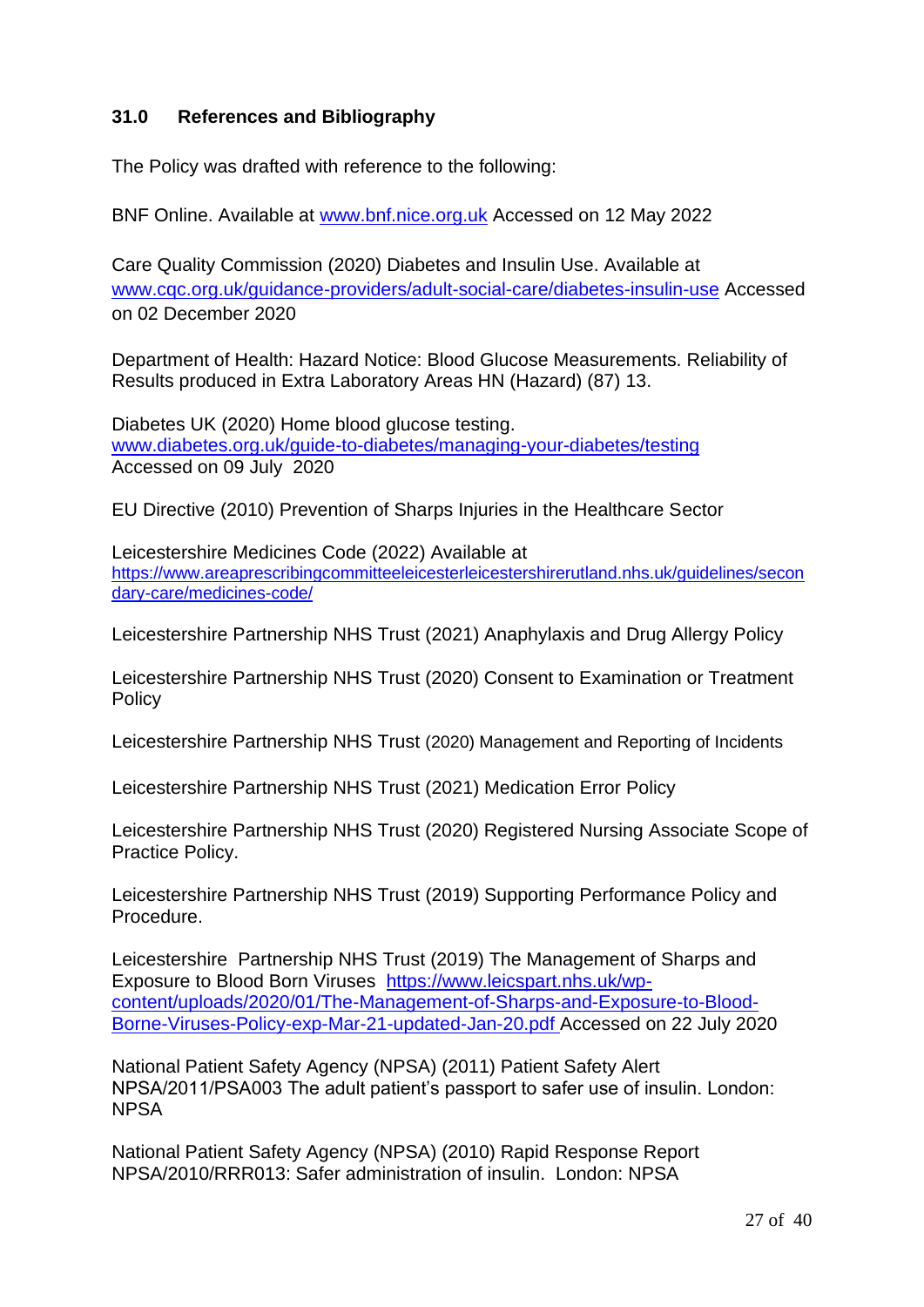#### **31.0 References and Bibliography**

The Policy was drafted with reference to the following:

BNF Online. Available at [www.bnf.nice.org.uk](http://www.bnf.nice.org.uk/) Accessed on 12 May 2022

Care Quality Commission (2020) Diabetes and Insulin Use. Available at [www.cqc.org.uk/guidance-providers/adult-social-care/diabetes-insulin-use](http://www.cqc.org.uk/guidance-providers/adult-social-care/diabetes-insulin-use) Accessed on 02 December 2020

Department of Health: Hazard Notice: Blood Glucose Measurements. Reliability of Results produced in Extra Laboratory Areas HN (Hazard) (87) 13.

Diabetes UK (2020) Home blood glucose testing. [www.diabetes.org.uk/guide-to-diabetes/managing-your-diabetes/testing](http://www.diabetes.org.uk/guide-to-diabetes/managing-your-diabetes/testing) Accessed on 09 July 2020

EU Directive (2010) Prevention of Sharps Injuries in the Healthcare Sector

Leicestershire Medicines Code (2022) Available at [https://www.areaprescribingcommitteeleicesterleicestershirerutland.nhs.uk/guidelines/secon](https://www.areaprescribingcommitteeleicesterleicestershirerutland.nhs.uk/guidelines/secondary-care/medicines-code/) [dary-care/medicines-code/](https://www.areaprescribingcommitteeleicesterleicestershirerutland.nhs.uk/guidelines/secondary-care/medicines-code/)

Leicestershire Partnership NHS Trust (2021) Anaphylaxis and Drug Allergy Policy

Leicestershire Partnership NHS Trust (2020) Consent to Examination or Treatment **Policy** 

Leicestershire Partnership NHS Trust (2020) Management and Reporting of Incidents

Leicestershire Partnership NHS Trust (2021) Medication Error Policy

Leicestershire Partnership NHS Trust (2020) Registered Nursing Associate Scope of Practice Policy.

Leicestershire Partnership NHS Trust (2019) Supporting Performance Policy and Procedure.

Leicestershire Partnership NHS Trust (2019) The Management of Sharps and Exposure to Blood Born Viruses [https://www.leicspart.nhs.uk/wp](https://www.leicspart.nhs.uk/wp-content/uploads/2020/01/The-Management-of-Sharps-and-Exposure-to-Blood-Borne-Viruses-Policy-exp-Mar-21-updated-Jan-20.pdf)[content/uploads/2020/01/The-Management-of-Sharps-and-Exposure-to-Blood-](https://www.leicspart.nhs.uk/wp-content/uploads/2020/01/The-Management-of-Sharps-and-Exposure-to-Blood-Borne-Viruses-Policy-exp-Mar-21-updated-Jan-20.pdf)[Borne-Viruses-Policy-exp-Mar-21-updated-Jan-20.pdf](https://www.leicspart.nhs.uk/wp-content/uploads/2020/01/The-Management-of-Sharps-and-Exposure-to-Blood-Borne-Viruses-Policy-exp-Mar-21-updated-Jan-20.pdf) Accessed on 22 July 2020

National Patient Safety Agency (NPSA) (2011) Patient Safety Alert NPSA/2011/PSA003 The adult patient's passport to safer use of insulin. London: **NPSA** 

National Patient Safety Agency (NPSA) (2010) Rapid Response Report NPSA/2010/RRR013: Safer administration of insulin. London: NPSA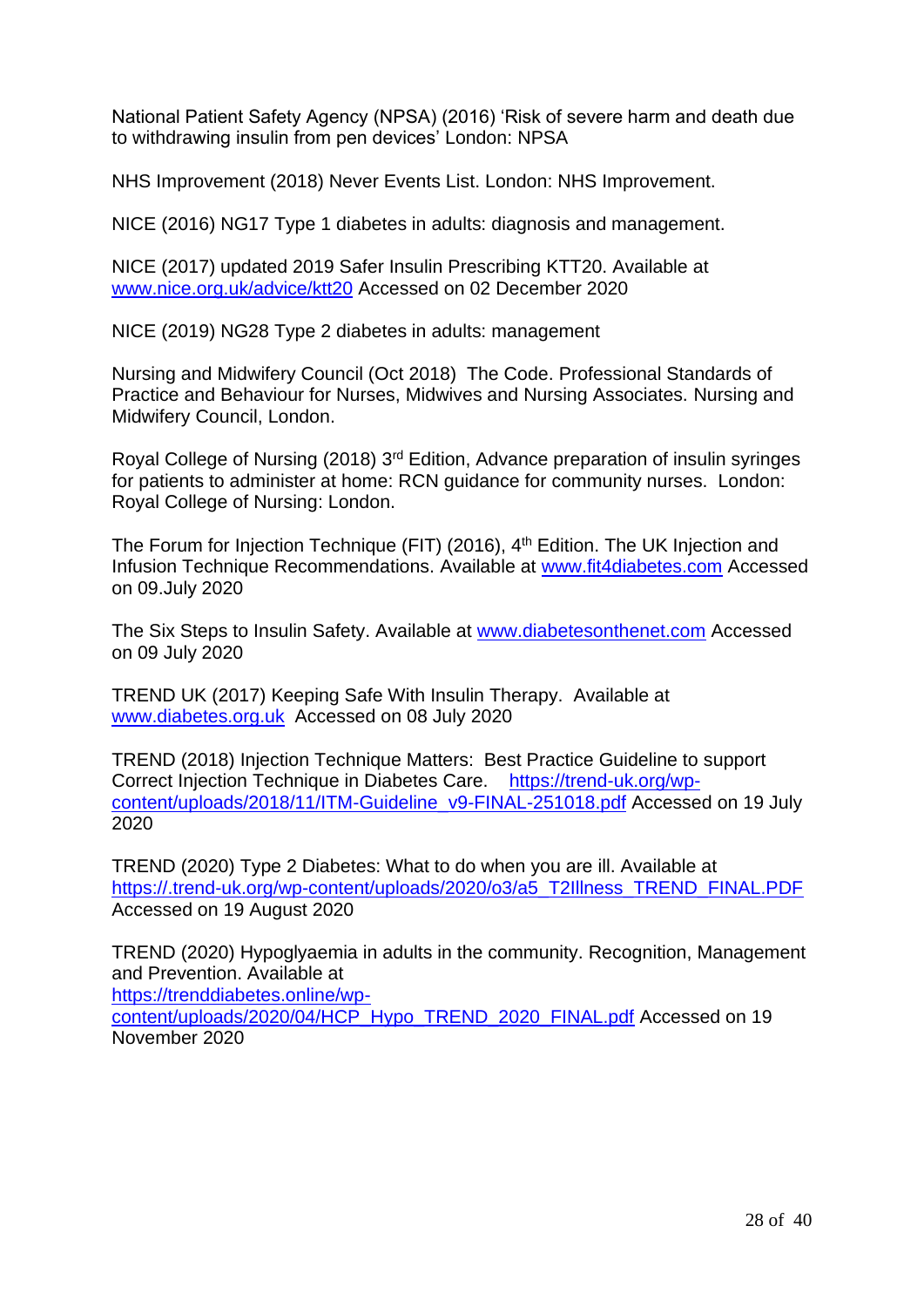National Patient Safety Agency (NPSA) (2016) 'Risk of severe harm and death due to withdrawing insulin from pen devices' London: NPSA

NHS Improvement (2018) Never Events List. London: NHS Improvement.

NICE (2016) NG17 Type 1 diabetes in adults: diagnosis and management.

NICE (2017) updated 2019 Safer Insulin Prescribing KTT20. Available at [www.nice.org.uk/advice/ktt20](http://www.nice.org.uk/advice/ktt20) Accessed on 02 December 2020

NICE (2019) NG28 Type 2 diabetes in adults: management

Nursing and Midwifery Council (Oct 2018) The Code. Professional Standards of Practice and Behaviour for Nurses, Midwives and Nursing Associates. Nursing and Midwifery Council, London.

Royal College of Nursing (2018) 3rd Edition, Advance preparation of insulin syringes for patients to administer at home: RCN guidance for community nurses. London: Royal College of Nursing: London.

The Forum for Injection Technique (FIT) (2016), 4<sup>th</sup> Edition. The UK Injection and Infusion Technique Recommendations. Available at [www.fit4diabetes.com](http://www.fit4diabetes.com/) Accessed on 09.July 2020

The Six Steps to Insulin Safety. Available at [www.diabetesonthenet.com](http://www.diabetesonthenet.com/) Accessed on 09 July 2020

TREND UK (2017) Keeping Safe With Insulin Therapy. Available at [www.diabetes.org.uk](http://www.diabetes.org.uk/) Accessed on 08 July 2020

TREND (2018) Injection Technique Matters: Best Practice Guideline to support Correct Injection Technique in Diabetes Care. [https://trend-uk.org/wp](https://trend-uk.org/wp-content/uploads/2018/11/ITM-Guideline_v9-FINAL-251018.pdf)[content/uploads/2018/11/ITM-Guideline\\_v9-FINAL-251018.pdf](https://trend-uk.org/wp-content/uploads/2018/11/ITM-Guideline_v9-FINAL-251018.pdf) Accessed on 19 July 2020

TREND (2020) Type 2 Diabetes: What to do when you are ill. Available at [https://.trend-uk.org/wp-content/uploads/2020/o3/a5\\_T2Illness\\_TREND\\_FINAL.PDF](https://.trend-uk.org/wp-content/uploads/2020/o3/a5_T2Illness_TREND_FINAL.PDF)  Accessed on 19 August 2020

TREND (2020) Hypoglyaemia in adults in the community. Recognition, Management and Prevention. Available at

[https://trenddiabetes.online/wp-](https://trenddiabetes.online/wp-content/uploads/2020/04/HCP_Hypo_TREND_2020_FINAL.pdf)

[content/uploads/2020/04/HCP\\_Hypo\\_TREND\\_2020\\_FINAL.pdf](https://trenddiabetes.online/wp-content/uploads/2020/04/HCP_Hypo_TREND_2020_FINAL.pdf) Accessed on 19 November 2020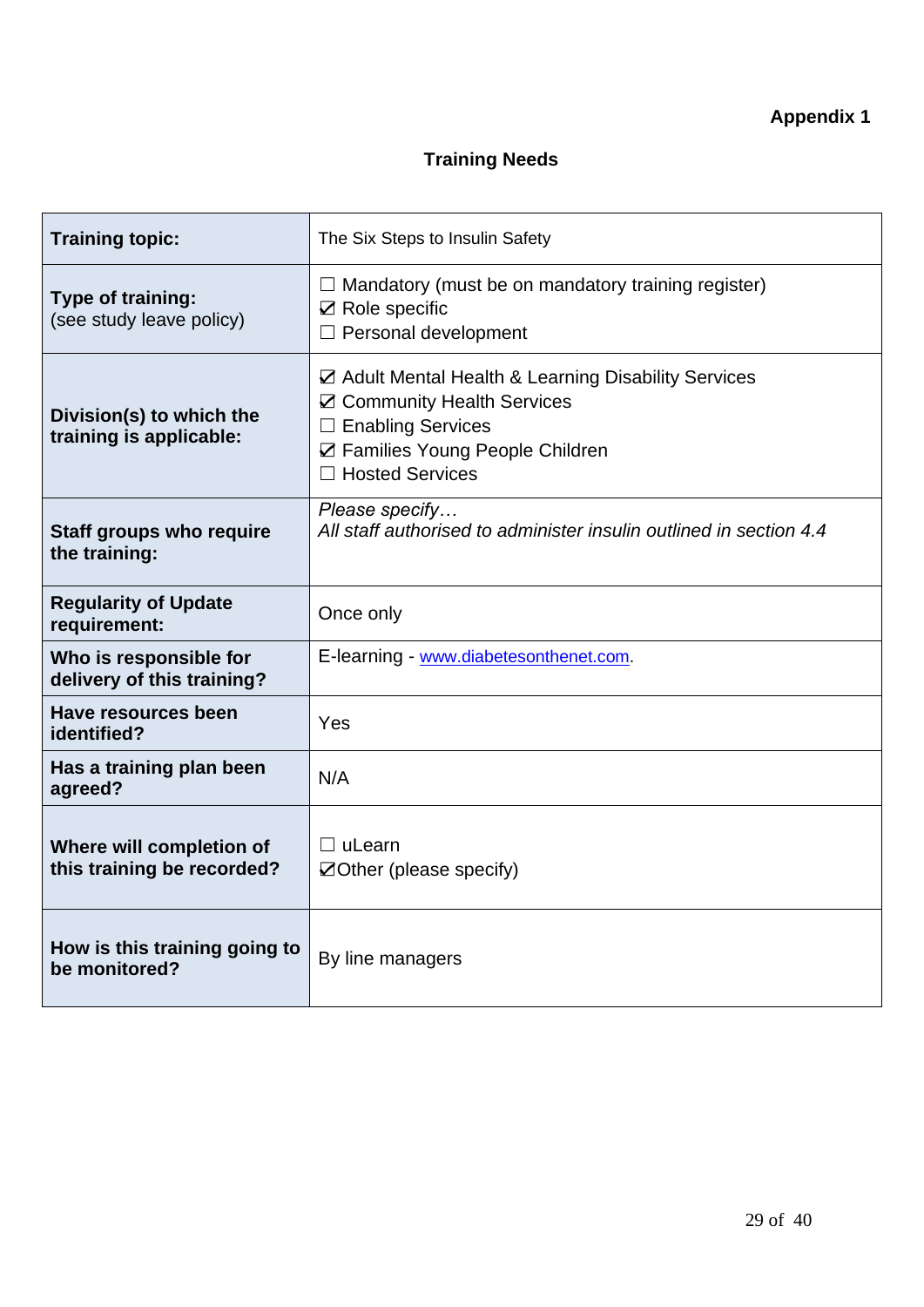# **Training Needs**

| <b>Training topic:</b>                                 | The Six Steps to Insulin Safety                                                                                                                                                         |
|--------------------------------------------------------|-----------------------------------------------------------------------------------------------------------------------------------------------------------------------------------------|
| Type of training:<br>(see study leave policy)          | $\Box$ Mandatory (must be on mandatory training register)<br>$\boxtimes$ Role specific<br>□ Personal development                                                                        |
| Division(s) to which the<br>training is applicable:    | ☑ Adult Mental Health & Learning Disability Services<br>☑ Community Health Services<br>$\Box$ Enabling Services<br>☑ Families Young People Children<br><b>Hosted Services</b><br>$\Box$ |
| <b>Staff groups who require</b><br>the training:       | Please specify<br>All staff authorised to administer insulin outlined in section 4.4                                                                                                    |
| <b>Regularity of Update</b><br>requirement:            | Once only                                                                                                                                                                               |
| Who is responsible for<br>delivery of this training?   | E-learning - www.diabetesonthenet.com.                                                                                                                                                  |
| Have resources been<br>identified?                     | Yes                                                                                                                                                                                     |
| Has a training plan been<br>agreed?                    | N/A                                                                                                                                                                                     |
| Where will completion of<br>this training be recorded? | $\Box$ uLearn<br>$\boxtimes$ Other (please specify)                                                                                                                                     |
| How is this training going to<br>be monitored?         | By line managers                                                                                                                                                                        |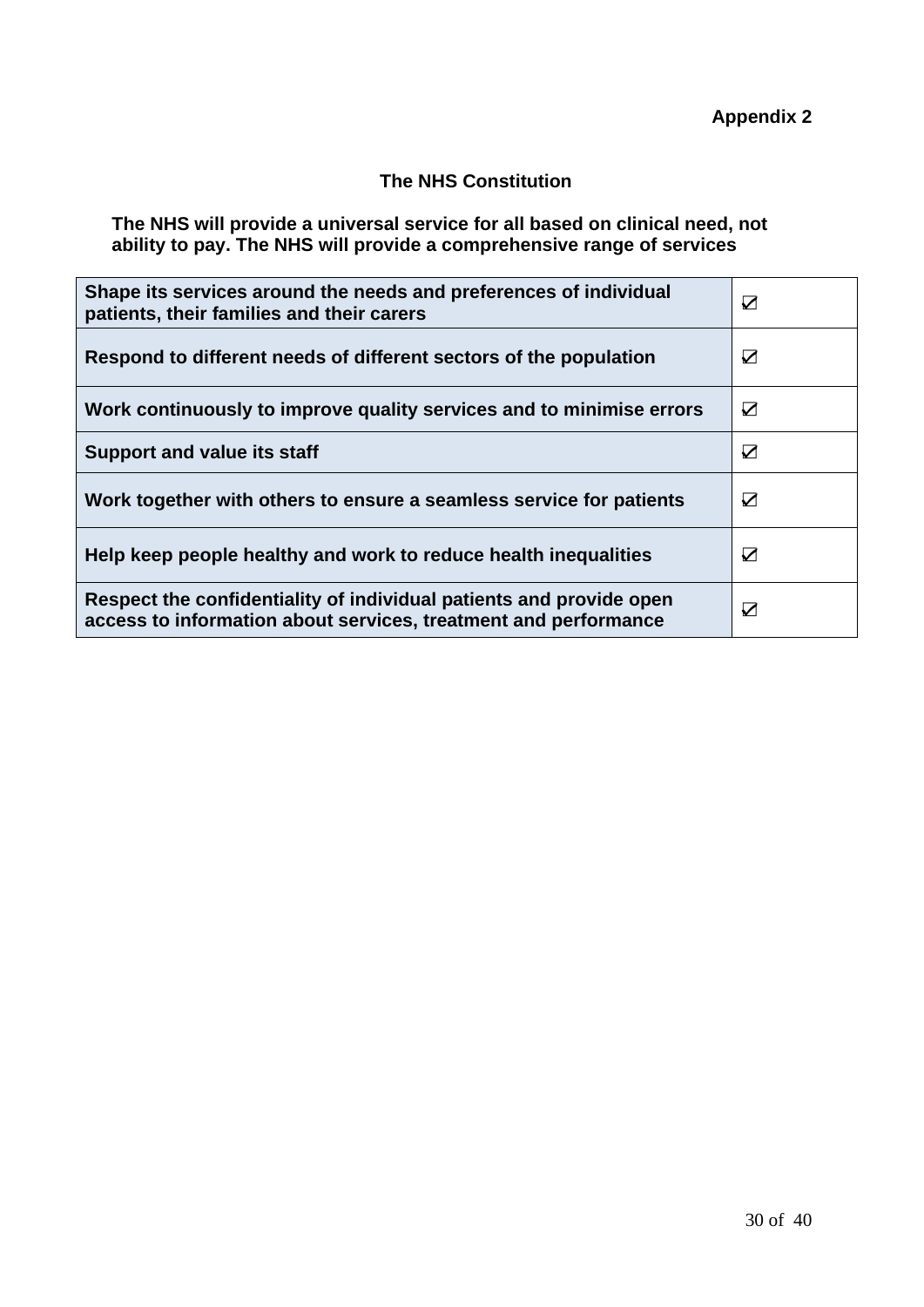#### **The NHS Constitution**

**The NHS will provide a universal service for all based on clinical need, not ability to pay. The NHS will provide a comprehensive range of services**

| Shape its services around the needs and preferences of individual<br>patients, their families and their carers                         | $\triangledown$ |
|----------------------------------------------------------------------------------------------------------------------------------------|-----------------|
| Respond to different needs of different sectors of the population                                                                      | ☑               |
| Work continuously to improve quality services and to minimise errors                                                                   | ☑               |
| <b>Support and value its staff</b>                                                                                                     | ☑               |
| Work together with others to ensure a seamless service for patients                                                                    | ☑               |
| Help keep people healthy and work to reduce health inequalities                                                                        | ☑               |
| Respect the confidentiality of individual patients and provide open<br>access to information about services, treatment and performance | $\triangledown$ |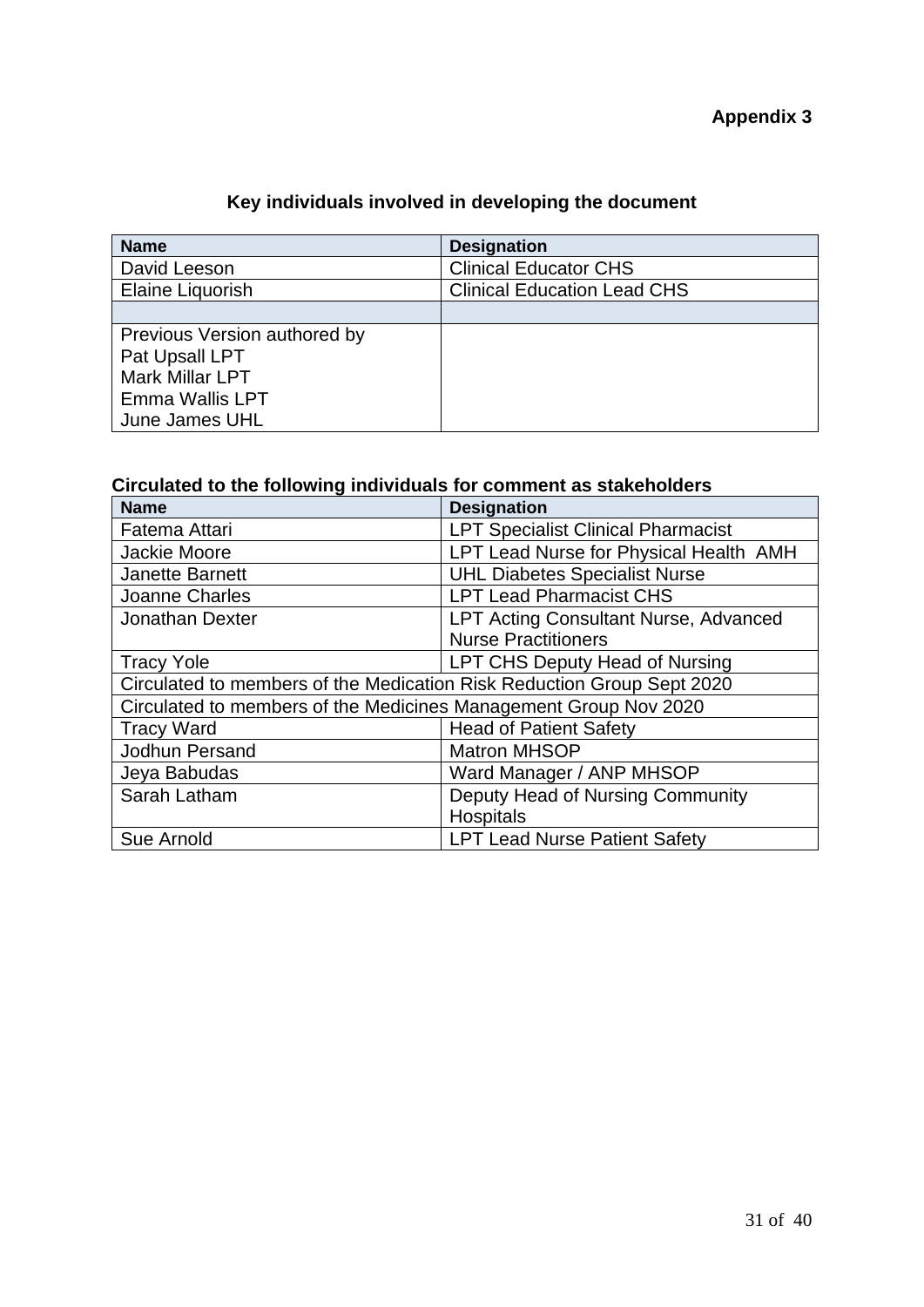# **Key individuals involved in developing the document**

| <b>Name</b>                  | <b>Designation</b>                 |
|------------------------------|------------------------------------|
| David Leeson                 | <b>Clinical Educator CHS</b>       |
| Elaine Liquorish             | <b>Clinical Education Lead CHS</b> |
|                              |                                    |
| Previous Version authored by |                                    |
| Pat Upsall LPT               |                                    |
| <b>Mark Millar LPT</b>       |                                    |
| Emma Wallis LPT              |                                    |
| June James UHL               |                                    |

## **Circulated to the following individuals for comment as stakeholders**

| <b>Name</b>                                                            | <b>Designation</b>                           |  |
|------------------------------------------------------------------------|----------------------------------------------|--|
| Fatema Attari                                                          | <b>LPT Specialist Clinical Pharmacist</b>    |  |
| Jackie Moore                                                           | LPT Lead Nurse for Physical Health AMH       |  |
| <b>Janette Barnett</b>                                                 | <b>UHL Diabetes Specialist Nurse</b>         |  |
| Joanne Charles                                                         | <b>LPT Lead Pharmacist CHS</b>               |  |
| <b>Jonathan Dexter</b>                                                 | <b>LPT Acting Consultant Nurse, Advanced</b> |  |
|                                                                        | <b>Nurse Practitioners</b>                   |  |
| <b>Tracy Yole</b>                                                      | LPT CHS Deputy Head of Nursing               |  |
| Circulated to members of the Medication Risk Reduction Group Sept 2020 |                                              |  |
| Circulated to members of the Medicines Management Group Nov 2020       |                                              |  |
| <b>Tracy Ward</b>                                                      | <b>Head of Patient Safety</b>                |  |
| Jodhun Persand                                                         | <b>Matron MHSOP</b>                          |  |
| Jeya Babudas                                                           | Ward Manager / ANP MHSOP                     |  |
| Sarah Latham                                                           | Deputy Head of Nursing Community             |  |
|                                                                        | <b>Hospitals</b>                             |  |
| Sue Arnold                                                             | <b>LPT Lead Nurse Patient Safety</b>         |  |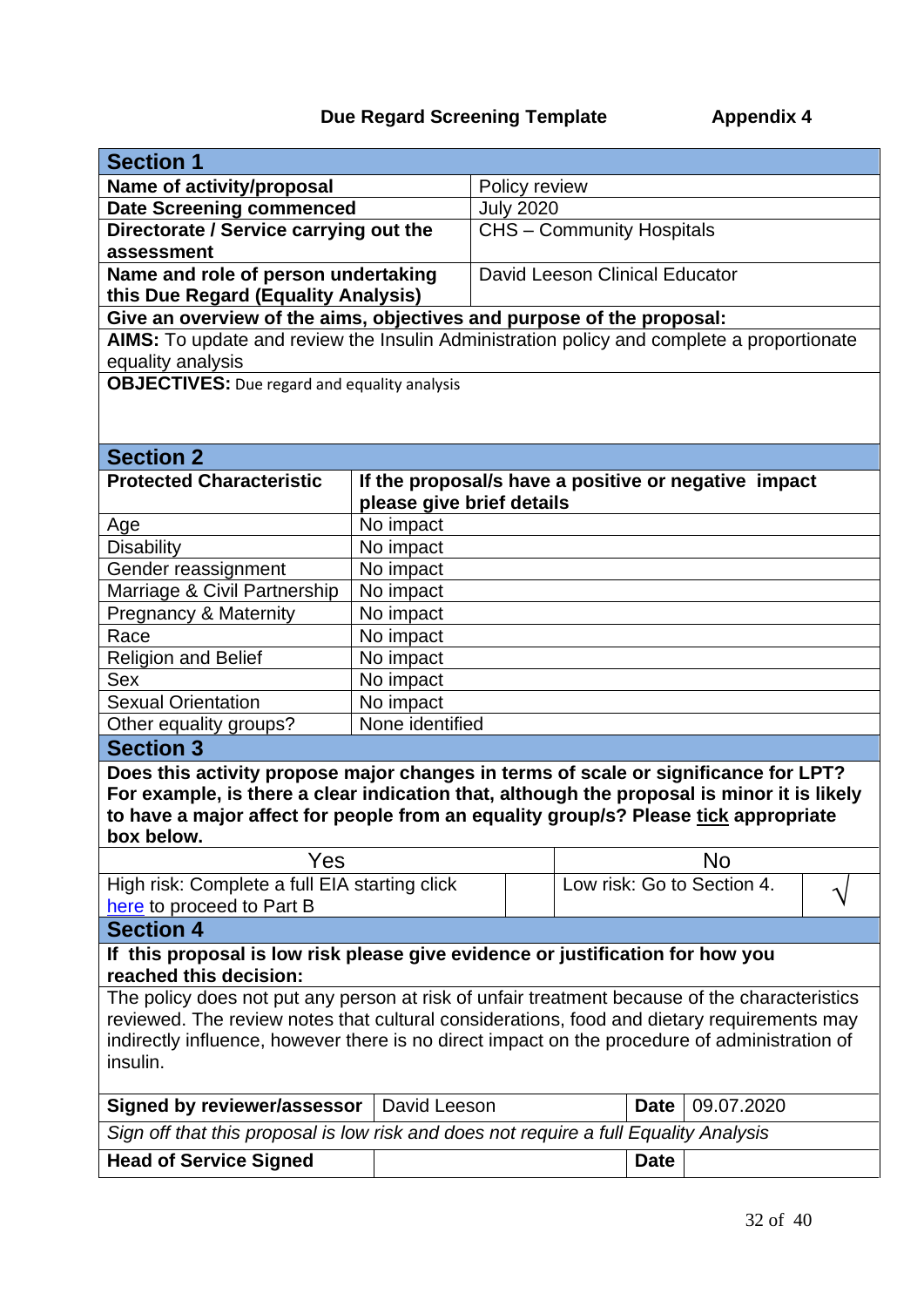# **Due Regard Screening Template Appendix 4**

| <b>Section 1</b>                                                                              |                           |                            |                                                      |            |  |
|-----------------------------------------------------------------------------------------------|---------------------------|----------------------------|------------------------------------------------------|------------|--|
| Name of activity/proposal                                                                     |                           | Policy review              |                                                      |            |  |
| <b>Date Screening commenced</b>                                                               |                           | <b>July 2020</b>           |                                                      |            |  |
| Directorate / Service carrying out the                                                        |                           |                            | <b>CHS - Community Hospitals</b>                     |            |  |
| assessment                                                                                    |                           |                            |                                                      |            |  |
| Name and role of person undertaking                                                           |                           |                            | David Leeson Clinical Educator                       |            |  |
| this Due Regard (Equality Analysis)                                                           |                           |                            |                                                      |            |  |
| Give an overview of the aims, objectives and purpose of the proposal:                         |                           |                            |                                                      |            |  |
| AIMS: To update and review the Insulin Administration policy and complete a proportionate     |                           |                            |                                                      |            |  |
| equality analysis                                                                             |                           |                            |                                                      |            |  |
| <b>OBJECTIVES:</b> Due regard and equality analysis                                           |                           |                            |                                                      |            |  |
|                                                                                               |                           |                            |                                                      |            |  |
|                                                                                               |                           |                            |                                                      |            |  |
| <b>Section 2</b>                                                                              |                           |                            |                                                      |            |  |
| <b>Protected Characteristic</b>                                                               |                           |                            | If the proposal/s have a positive or negative impact |            |  |
|                                                                                               | please give brief details |                            |                                                      |            |  |
| Age                                                                                           | No impact                 |                            |                                                      |            |  |
| <b>Disability</b>                                                                             | No impact                 |                            |                                                      |            |  |
| Gender reassignment                                                                           | No impact                 |                            |                                                      |            |  |
| Marriage & Civil Partnership                                                                  | No impact                 |                            |                                                      |            |  |
| <b>Pregnancy &amp; Maternity</b>                                                              | No impact                 |                            |                                                      |            |  |
| Race                                                                                          | No impact                 |                            |                                                      |            |  |
| <b>Religion and Belief</b>                                                                    | No impact                 |                            |                                                      |            |  |
| <b>Sex</b>                                                                                    | No impact                 |                            |                                                      |            |  |
| <b>Sexual Orientation</b>                                                                     | No impact                 |                            |                                                      |            |  |
| Other equality groups?                                                                        | None identified           |                            |                                                      |            |  |
| <b>Section 3</b>                                                                              |                           |                            |                                                      |            |  |
| Does this activity propose major changes in terms of scale or significance for LPT?           |                           |                            |                                                      |            |  |
| For example, is there a clear indication that, although the proposal is minor it is likely    |                           |                            |                                                      |            |  |
| to have a major affect for people from an equality group/s? Please tick appropriate           |                           |                            |                                                      |            |  |
| box below.                                                                                    |                           |                            |                                                      |            |  |
| Yes                                                                                           |                           |                            |                                                      | No         |  |
| High risk: Complete a full EIA starting click                                                 |                           | Low risk: Go to Section 4. |                                                      |            |  |
| here to proceed to Part B                                                                     |                           |                            |                                                      |            |  |
| <b>Section 4</b>                                                                              |                           |                            |                                                      |            |  |
| If this proposal is low risk please give evidence or justification for how you                |                           |                            |                                                      |            |  |
| reached this decision:                                                                        |                           |                            |                                                      |            |  |
| The policy does not put any person at risk of unfair treatment because of the characteristics |                           |                            |                                                      |            |  |
| reviewed. The review notes that cultural considerations, food and dietary requirements may    |                           |                            |                                                      |            |  |
| indirectly influence, however there is no direct impact on the procedure of administration of |                           |                            |                                                      |            |  |
| insulin.                                                                                      |                           |                            |                                                      |            |  |
| <b>Signed by reviewer/assessor</b>                                                            | David Leeson              |                            | <b>Date</b>                                          | 09.07.2020 |  |
| Sign off that this proposal is low risk and does not require a full Equality Analysis         |                           |                            |                                                      |            |  |
| <b>Head of Service Signed</b>                                                                 |                           |                            | <b>Date</b>                                          |            |  |
|                                                                                               |                           |                            |                                                      |            |  |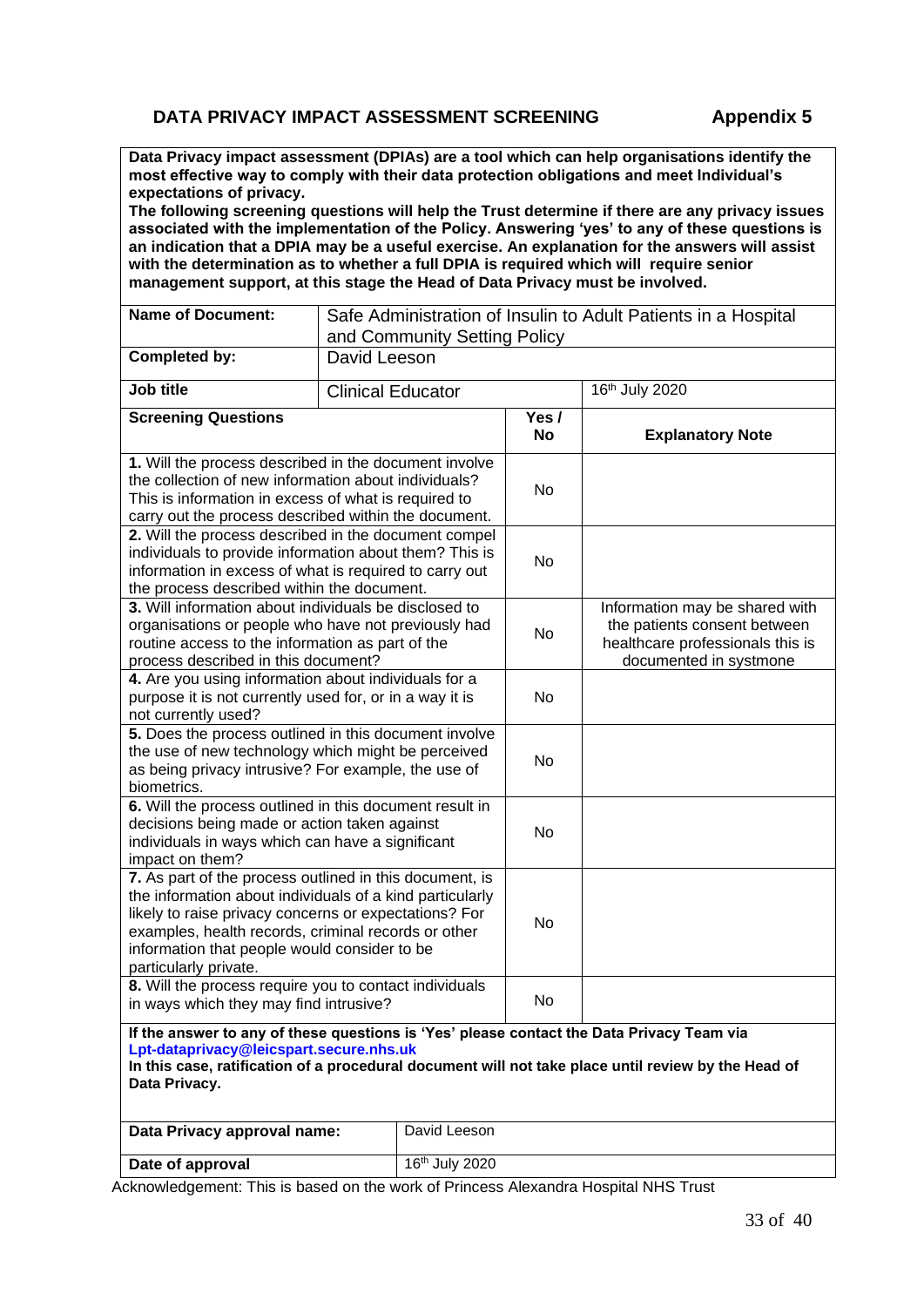#### **DATA PRIVACY IMPACT ASSESSMENT SCREENING Appendix 5**

**Data Privacy impact assessment (DPIAs) are a tool which can help organisations identify the most effective way to comply with their data protection obligations and meet Individual's expectations of privacy.** 

**The following screening questions will help the Trust determine if there are any privacy issues associated with the implementation of the Policy. Answering 'yes' to any of these questions is an indication that a DPIA may be a useful exercise. An explanation for the answers will assist with the determination as to whether a full DPIA is required which will require senior management support, at this stage the Head of Data Privacy must be involved.**

| <b>Name of Document:</b>                                                                                                                                                                                                                                                                                     | Safe Administration of Insulin to Adult Patients in a Hospital<br>and Community Setting Policy |                            |                                                                                                                              |                         |
|--------------------------------------------------------------------------------------------------------------------------------------------------------------------------------------------------------------------------------------------------------------------------------------------------------------|------------------------------------------------------------------------------------------------|----------------------------|------------------------------------------------------------------------------------------------------------------------------|-------------------------|
| <b>Completed by:</b>                                                                                                                                                                                                                                                                                         | David Leeson                                                                                   |                            |                                                                                                                              |                         |
|                                                                                                                                                                                                                                                                                                              |                                                                                                |                            |                                                                                                                              |                         |
| Job title                                                                                                                                                                                                                                                                                                    | <b>Clinical Educator</b>                                                                       |                            |                                                                                                                              | 16th July 2020          |
| <b>Screening Questions</b>                                                                                                                                                                                                                                                                                   |                                                                                                |                            | Yes /<br>No                                                                                                                  | <b>Explanatory Note</b> |
| 1. Will the process described in the document involve<br>the collection of new information about individuals?<br>This is information in excess of what is required to<br>carry out the process described within the document.                                                                                |                                                                                                | No                         |                                                                                                                              |                         |
| 2. Will the process described in the document compel<br>individuals to provide information about them? This is<br>information in excess of what is required to carry out<br>the process described within the document.                                                                                       |                                                                                                | No                         |                                                                                                                              |                         |
| 3. Will information about individuals be disclosed to<br>organisations or people who have not previously had<br>routine access to the information as part of the<br>process described in this document?                                                                                                      |                                                                                                | No                         | Information may be shared with<br>the patients consent between<br>healthcare professionals this is<br>documented in systmone |                         |
| 4. Are you using information about individuals for a<br>purpose it is not currently used for, or in a way it is<br>not currently used?                                                                                                                                                                       |                                                                                                | No                         |                                                                                                                              |                         |
| 5. Does the process outlined in this document involve<br>the use of new technology which might be perceived<br>as being privacy intrusive? For example, the use of<br>biometrics.                                                                                                                            |                                                                                                | No                         |                                                                                                                              |                         |
| 6. Will the process outlined in this document result in<br>decisions being made or action taken against<br>individuals in ways which can have a significant<br>impact on them?                                                                                                                               |                                                                                                | No                         |                                                                                                                              |                         |
| 7. As part of the process outlined in this document, is<br>the information about individuals of a kind particularly<br>likely to raise privacy concerns or expectations? For<br>examples, health records, criminal records or other<br>information that people would consider to be<br>particularly private. |                                                                                                | No                         |                                                                                                                              |                         |
| 8. Will the process require you to contact individuals<br>in ways which they may find intrusive?                                                                                                                                                                                                             |                                                                                                | No                         |                                                                                                                              |                         |
| If the answer to any of these questions is 'Yes' please contact the Data Privacy Team via<br>Lpt-dataprivacy@leicspart.secure.nhs.uk<br>In this case, ratification of a procedural document will not take place until review by the Head of<br>Data Privacy.                                                 |                                                                                                |                            |                                                                                                                              |                         |
| Data Privacy approval name:                                                                                                                                                                                                                                                                                  |                                                                                                | David Leeson               |                                                                                                                              |                         |
| Date of approval                                                                                                                                                                                                                                                                                             |                                                                                                | 16 <sup>th</sup> July 2020 |                                                                                                                              |                         |

Acknowledgement: This is based on the work of Princess Alexandra Hospital NHS Trust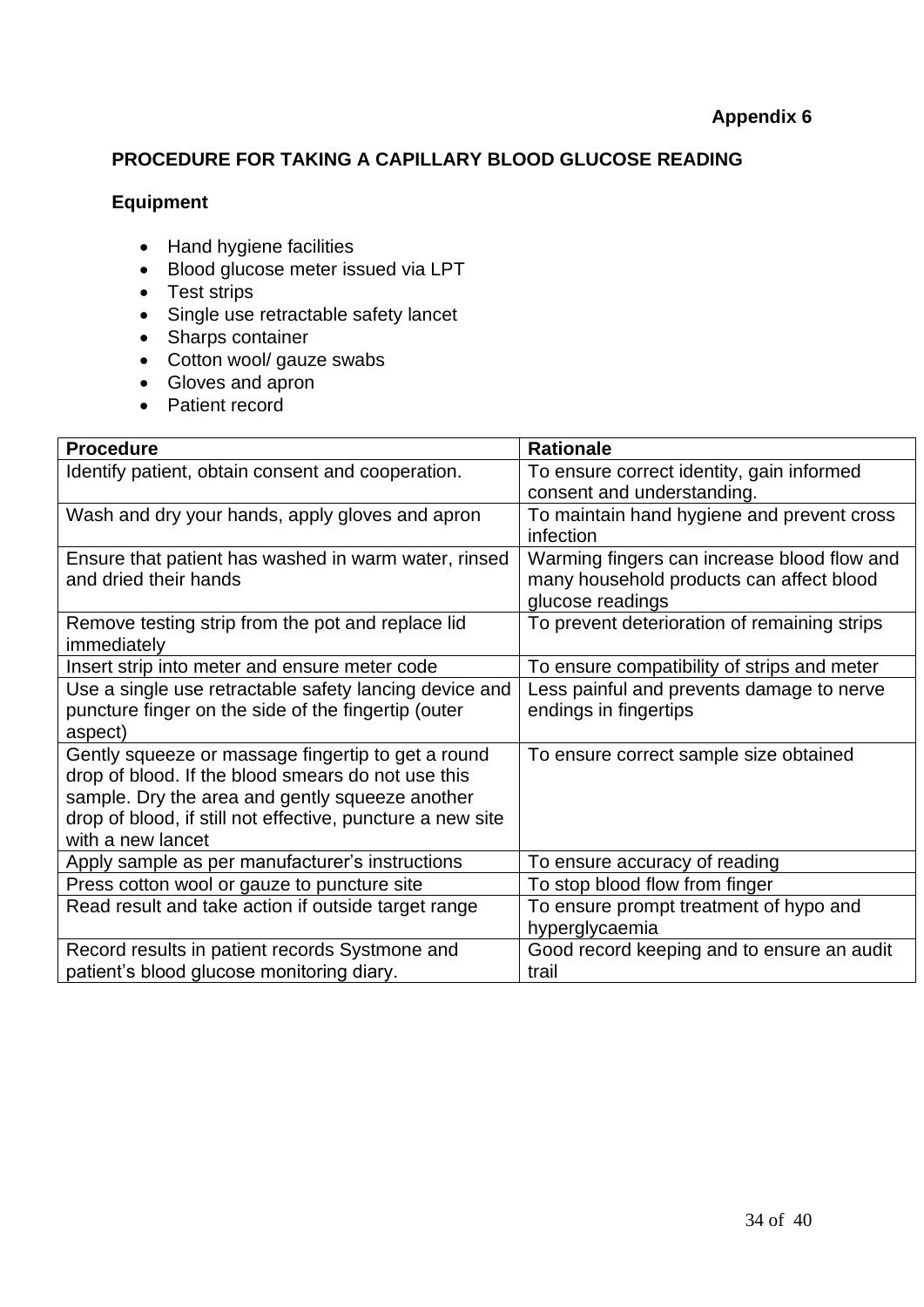#### **PROCEDURE FOR TAKING A CAPILLARY BLOOD GLUCOSE READING**

#### **Equipment**

- Hand hygiene facilities
- Blood glucose meter issued via LPT
- Test strips
- Single use retractable safety lancet
- Sharps container
- Cotton wool/ gauze swabs
- Gloves and apron
- Patient record

| <b>Procedure</b>                                           | <b>Rationale</b>                             |
|------------------------------------------------------------|----------------------------------------------|
| Identify patient, obtain consent and cooperation.          | To ensure correct identity, gain informed    |
|                                                            | consent and understanding.                   |
| Wash and dry your hands, apply gloves and apron            | To maintain hand hygiene and prevent cross   |
|                                                            | infection                                    |
| Ensure that patient has washed in warm water, rinsed       | Warming fingers can increase blood flow and  |
| and dried their hands                                      | many household products can affect blood     |
|                                                            | glucose readings                             |
| Remove testing strip from the pot and replace lid          | To prevent deterioration of remaining strips |
| immediately                                                |                                              |
| Insert strip into meter and ensure meter code              | To ensure compatibility of strips and meter  |
| Use a single use retractable safety lancing device and     | Less painful and prevents damage to nerve    |
| puncture finger on the side of the fingertip (outer        | endings in fingertips                        |
| aspect)                                                    |                                              |
| Gently squeeze or massage fingertip to get a round         | To ensure correct sample size obtained       |
| drop of blood. If the blood smears do not use this         |                                              |
| sample. Dry the area and gently squeeze another            |                                              |
| drop of blood, if still not effective, puncture a new site |                                              |
| with a new lancet                                          |                                              |
| Apply sample as per manufacturer's instructions            | To ensure accuracy of reading                |
| Press cotton wool or gauze to puncture site                | To stop blood flow from finger               |
| Read result and take action if outside target range        | To ensure prompt treatment of hypo and       |
|                                                            | hyperglycaemia                               |
| Record results in patient records Systmone and             | Good record keeping and to ensure an audit   |
| patient's blood glucose monitoring diary.                  | trail                                        |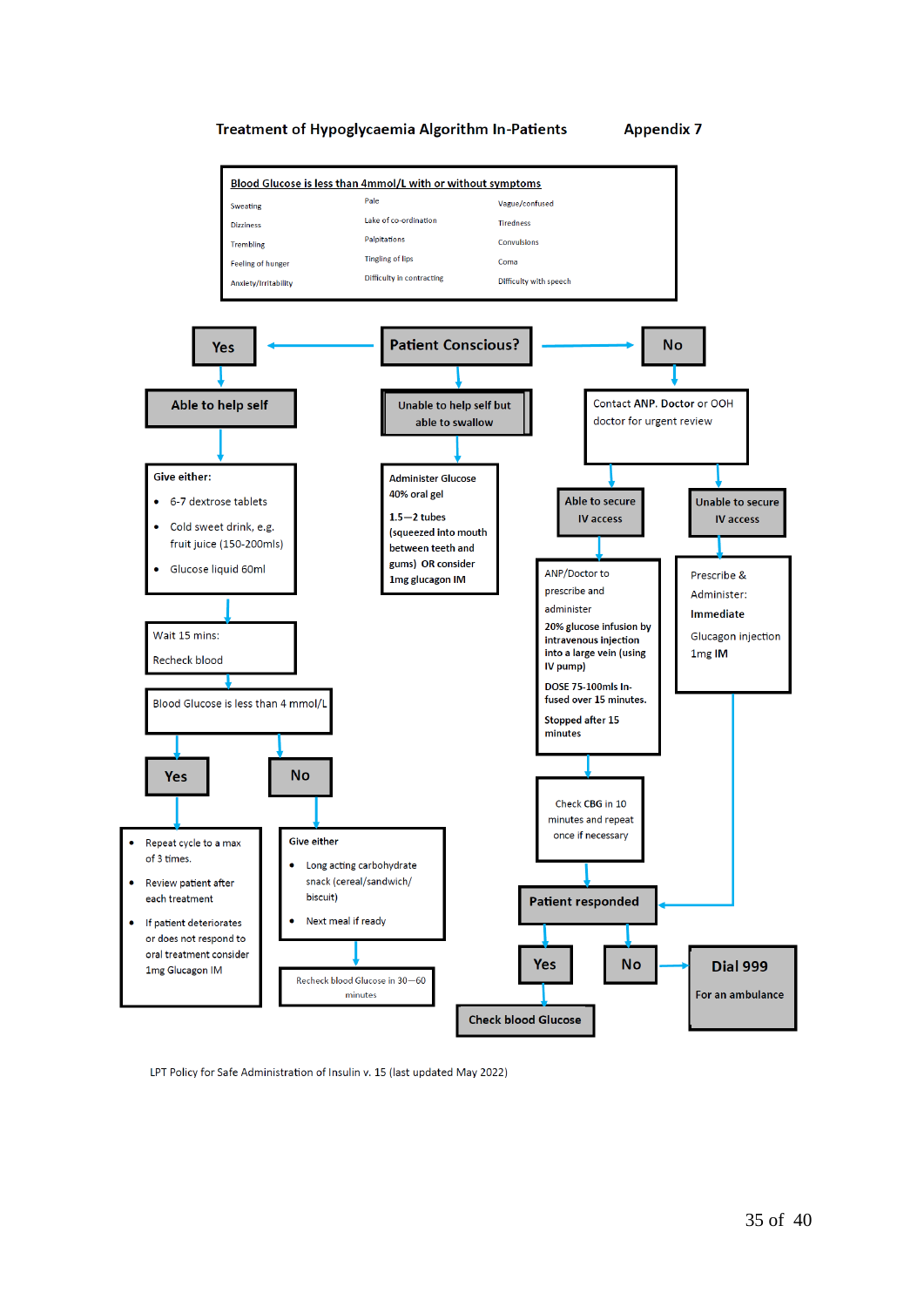

LPT Policy for Safe Administration of Insulin v. 15 (last updated May 2022)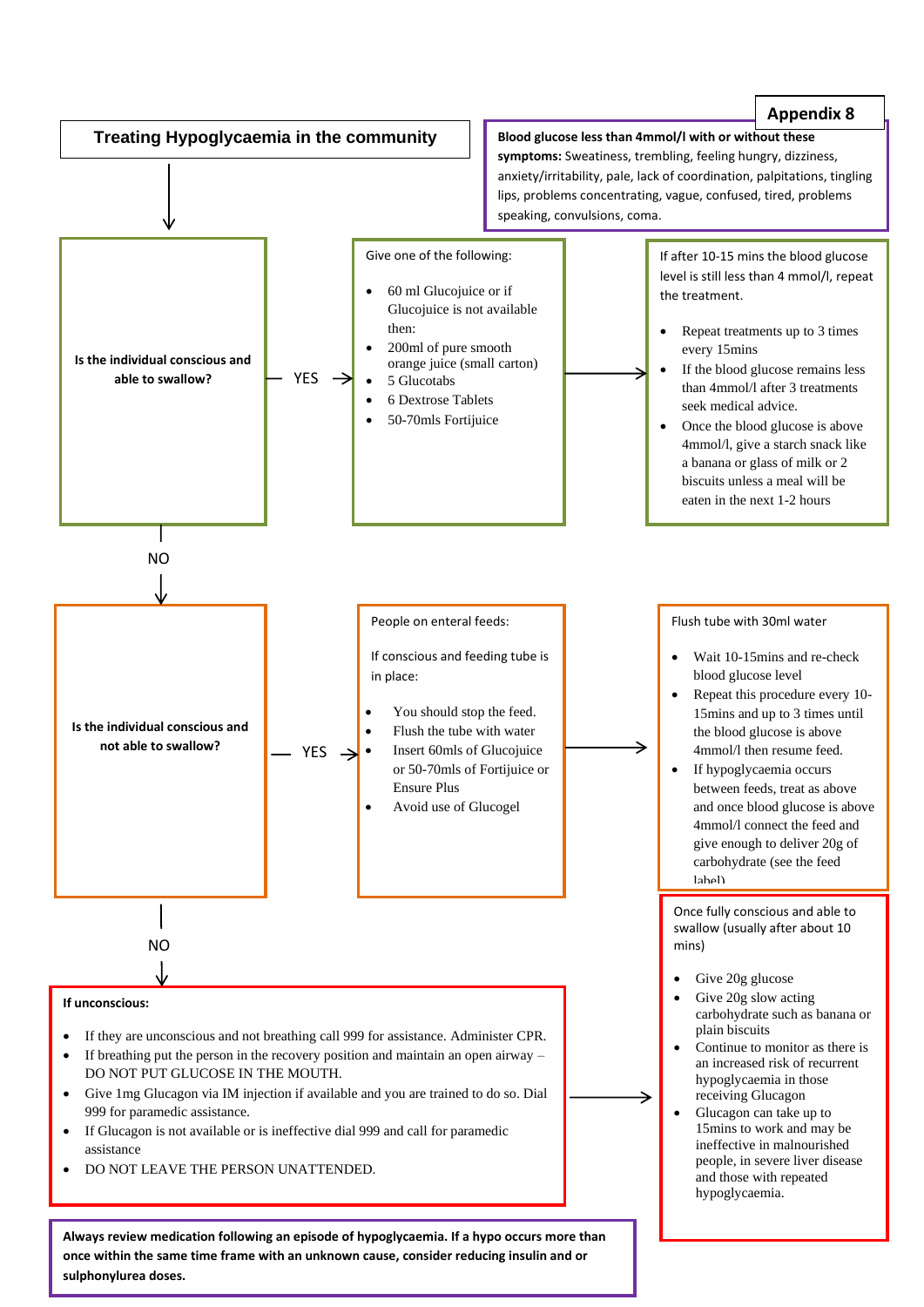

**sulphonylurea doses.**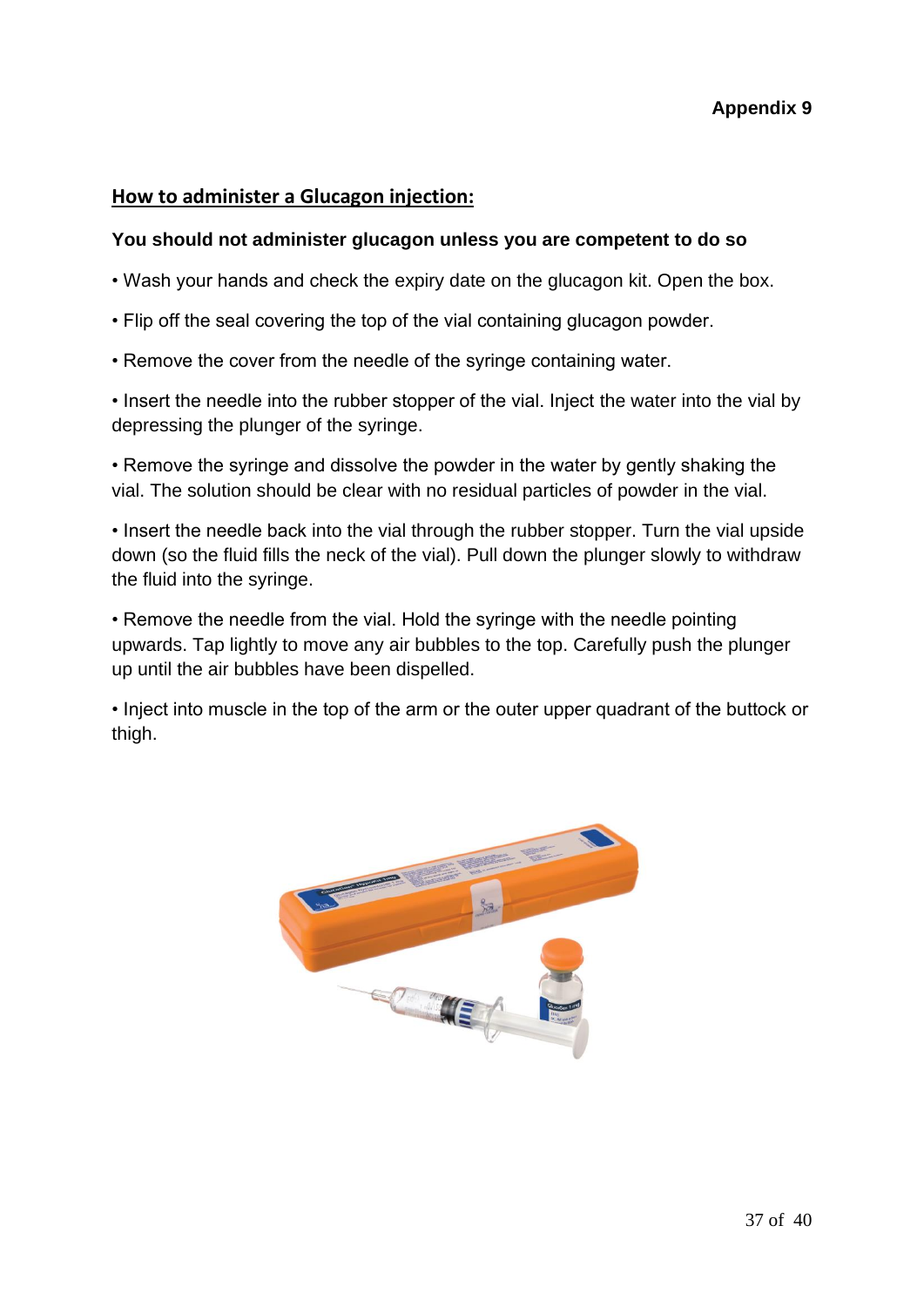#### **How to administer a Glucagon injection:**

#### **You should not administer glucagon unless you are competent to do so**

- Wash your hands and check the expiry date on the glucagon kit. Open the box.
- Flip off the seal covering the top of the vial containing glucagon powder.
- Remove the cover from the needle of the syringe containing water.

• Insert the needle into the rubber stopper of the vial. Inject the water into the vial by depressing the plunger of the syringe.

• Remove the syringe and dissolve the powder in the water by gently shaking the vial. The solution should be clear with no residual particles of powder in the vial.

• Insert the needle back into the vial through the rubber stopper. Turn the vial upside down (so the fluid fills the neck of the vial). Pull down the plunger slowly to withdraw the fluid into the syringe.

• Remove the needle from the vial. Hold the syringe with the needle pointing upwards. Tap lightly to move any air bubbles to the top. Carefully push the plunger up until the air bubbles have been dispelled.

• Inject into muscle in the top of the arm or the outer upper quadrant of the buttock or thigh.

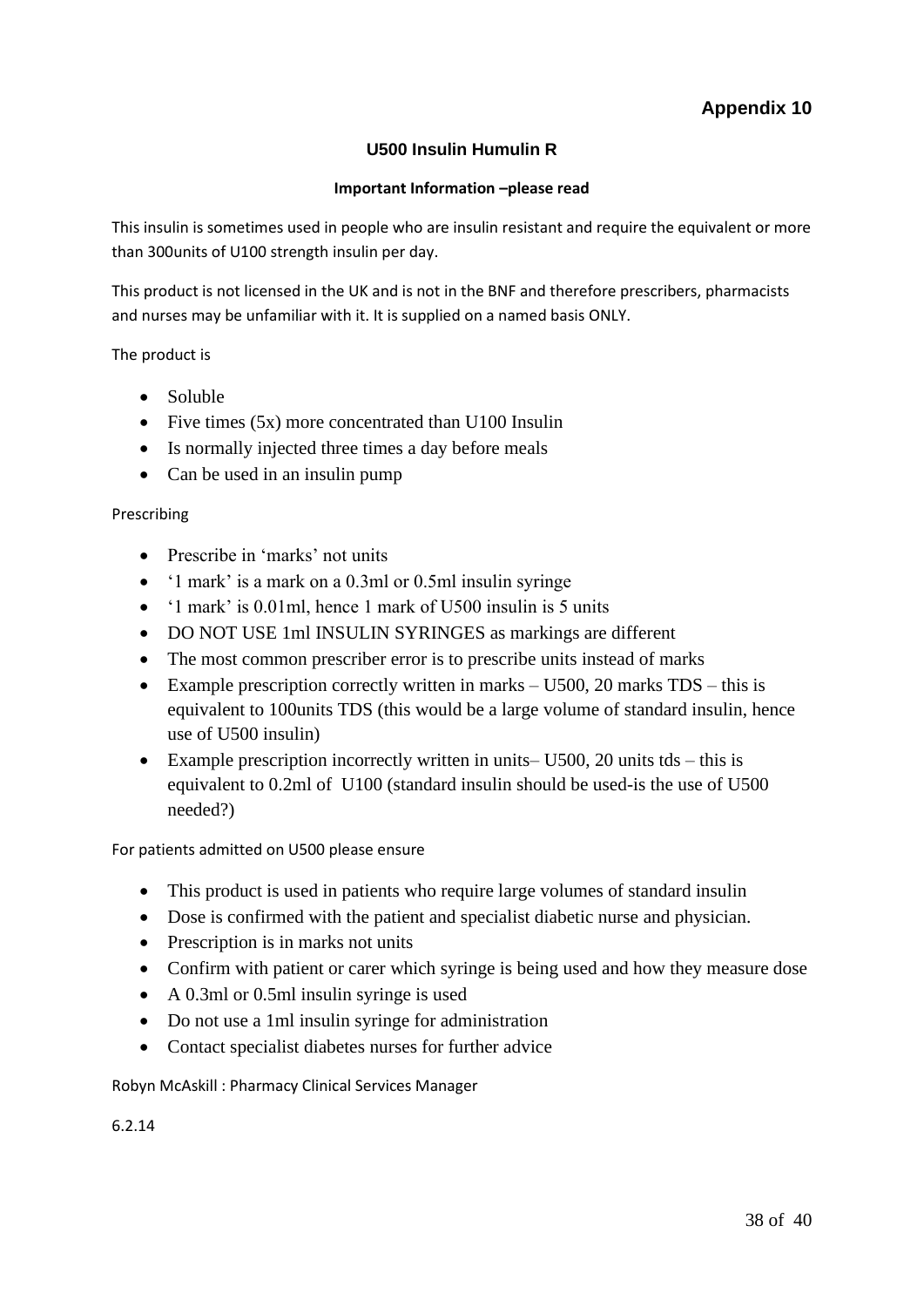#### **U500 Insulin Humulin R**

#### **Important Information –please read**

This insulin is sometimes used in people who are insulin resistant and require the equivalent or more than 300units of U100 strength insulin per day.

This product is not licensed in the UK and is not in the BNF and therefore prescribers, pharmacists and nurses may be unfamiliar with it. It is supplied on a named basis ONLY.

The product is

- Soluble
- Five times (5x) more concentrated than U100 Insulin
- Is normally injected three times a day before meals
- Can be used in an insulin pump

#### Prescribing

- Prescribe in 'marks' not units
- '1 mark' is a mark on a 0.3ml or 0.5ml insulin syringe
- '1 mark' is 0.01ml, hence 1 mark of U500 insulin is 5 units
- DO NOT USE 1ml INSULIN SYRINGES as markings are different
- The most common prescriber error is to prescribe units instead of marks
- Example prescription correctly written in marks  $-$  U500, 20 marks TDS this is equivalent to 100units TDS (this would be a large volume of standard insulin, hence use of U500 insulin)
- Example prescription incorrectly written in units–  $U500$ , 20 units tds this is equivalent to 0.2ml of U100 (standard insulin should be used-is the use of U500 needed?)

For patients admitted on U500 please ensure

- This product is used in patients who require large volumes of standard insulin
- Dose is confirmed with the patient and specialist diabetic nurse and physician.
- Prescription is in marks not units
- Confirm with patient or carer which syringe is being used and how they measure dose
- A 0.3ml or 0.5ml insulin syringe is used
- Do not use a 1ml insulin syringe for administration
- Contact specialist diabetes nurses for further advice

Robyn McAskill : Pharmacy Clinical Services Manager

6.2.14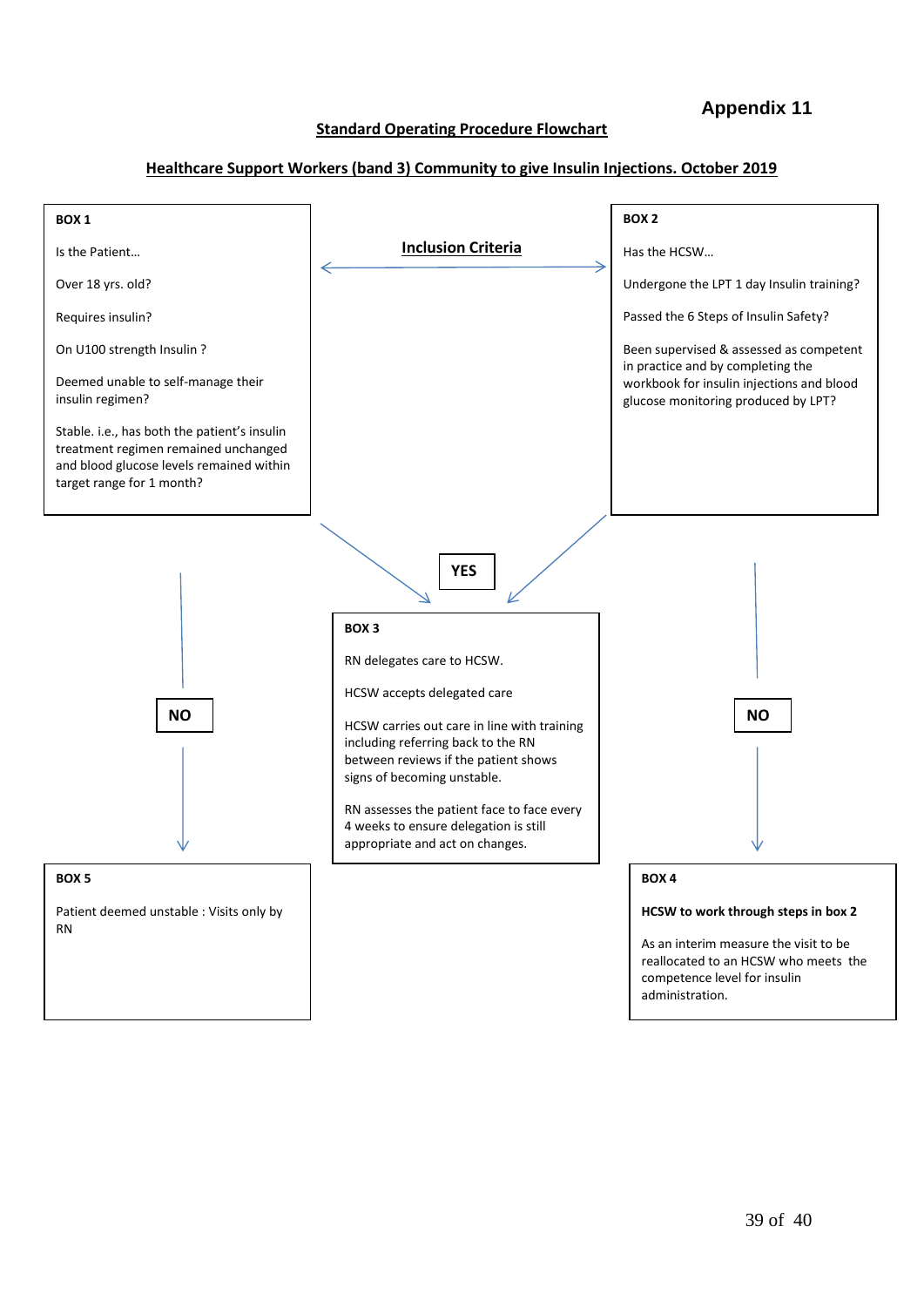#### **Appendix 11**

#### **Standard Operating Procedure Flowchart**

#### **Healthcare Support Workers (band 3) Community to give Insulin Injections. October 2019**

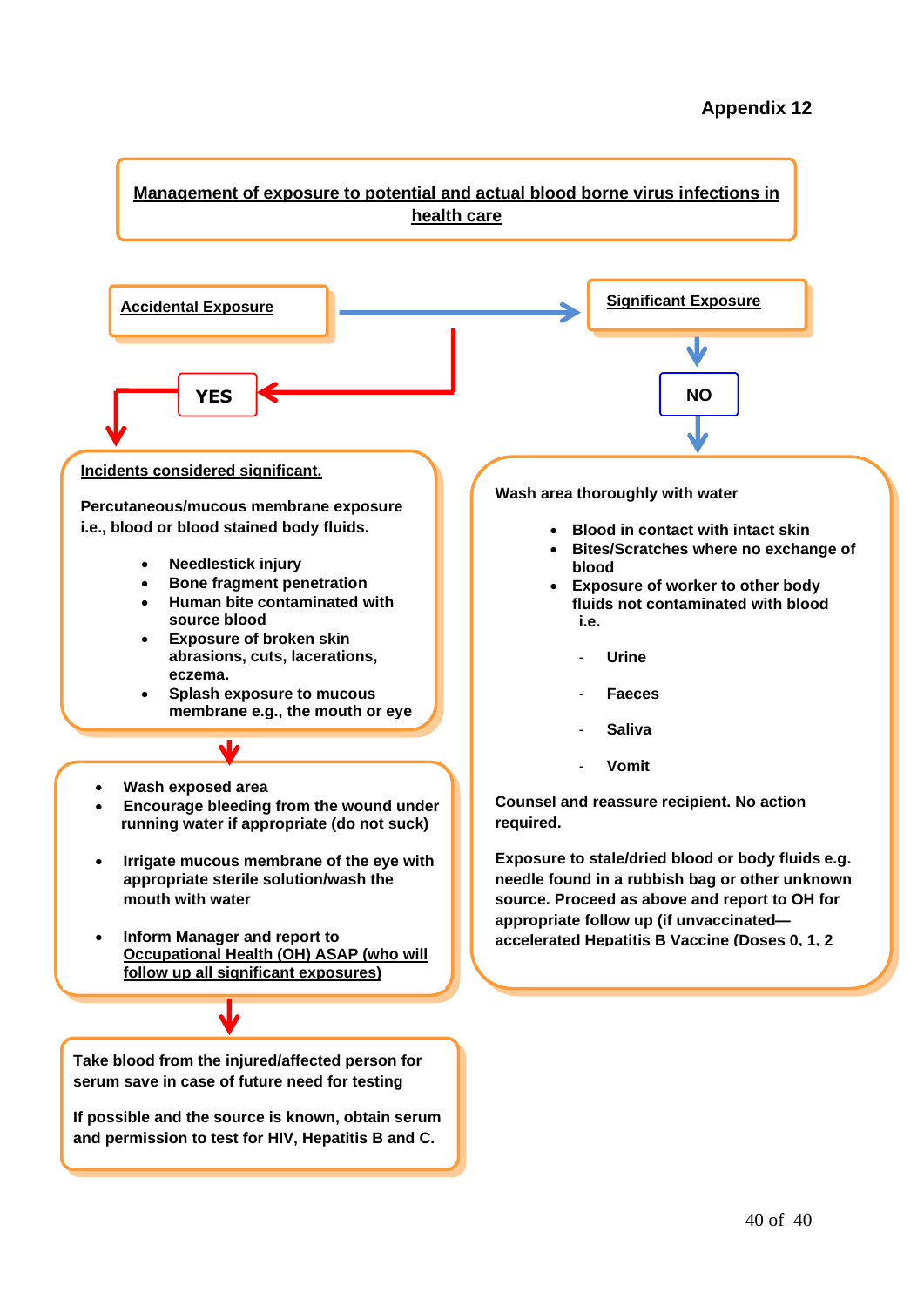#### **Appendix 12**